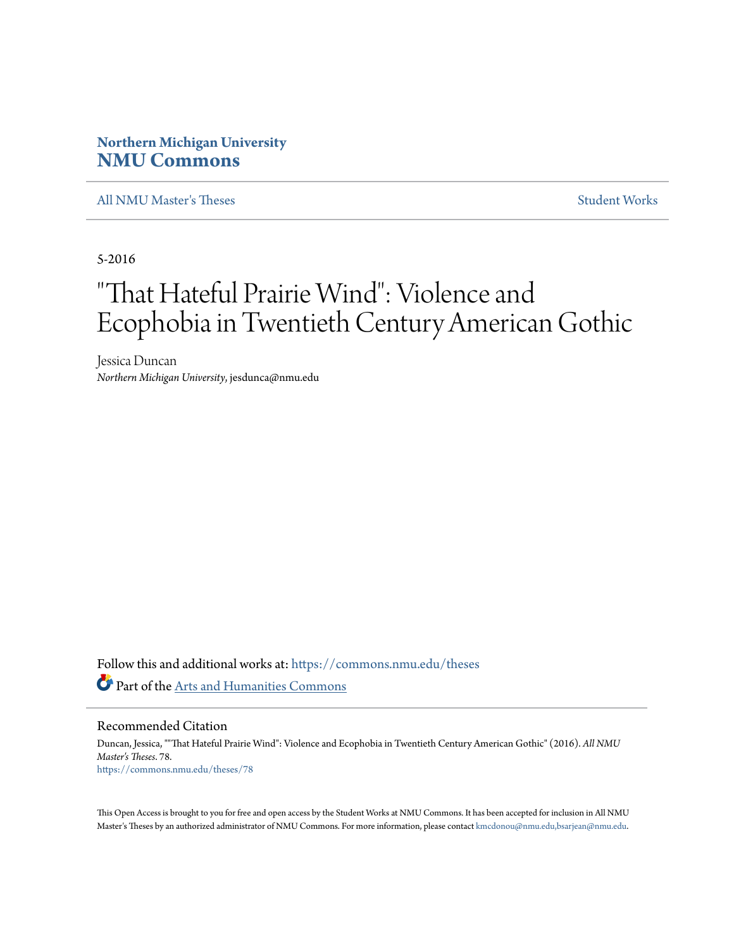# **Northern Michigan University [NMU Commons](https://commons.nmu.edu?utm_source=commons.nmu.edu%2Ftheses%2F78&utm_medium=PDF&utm_campaign=PDFCoverPages)**

[All NMU Master's Theses](https://commons.nmu.edu/theses?utm_source=commons.nmu.edu%2Ftheses%2F78&utm_medium=PDF&utm_campaign=PDFCoverPages) [Student Works](https://commons.nmu.edu/student_works?utm_source=commons.nmu.edu%2Ftheses%2F78&utm_medium=PDF&utm_campaign=PDFCoverPages)

5-2016

# "That Hateful Prairie Wind": Violence and Ecophobia in Twentieth Century American Gothic

Jessica Duncan *Northern Michigan University*, jesdunca@nmu.edu

Follow this and additional works at: [https://commons.nmu.edu/theses](https://commons.nmu.edu/theses?utm_source=commons.nmu.edu%2Ftheses%2F78&utm_medium=PDF&utm_campaign=PDFCoverPages) Part of the [Arts and Humanities Commons](http://network.bepress.com/hgg/discipline/438?utm_source=commons.nmu.edu%2Ftheses%2F78&utm_medium=PDF&utm_campaign=PDFCoverPages)

Recommended Citation

Duncan, Jessica, ""That Hateful Prairie Wind": Violence and Ecophobia in Twentieth Century American Gothic" (2016). *All NMU Master's Theses*. 78. [https://commons.nmu.edu/theses/78](https://commons.nmu.edu/theses/78?utm_source=commons.nmu.edu%2Ftheses%2F78&utm_medium=PDF&utm_campaign=PDFCoverPages)

This Open Access is brought to you for free and open access by the Student Works at NMU Commons. It has been accepted for inclusion in All NMU Master's Theses by an authorized administrator of NMU Commons. For more information, please contact [kmcdonou@nmu.edu,bsarjean@nmu.edu.](mailto:kmcdonou@nmu.edu,bsarjean@nmu.edu)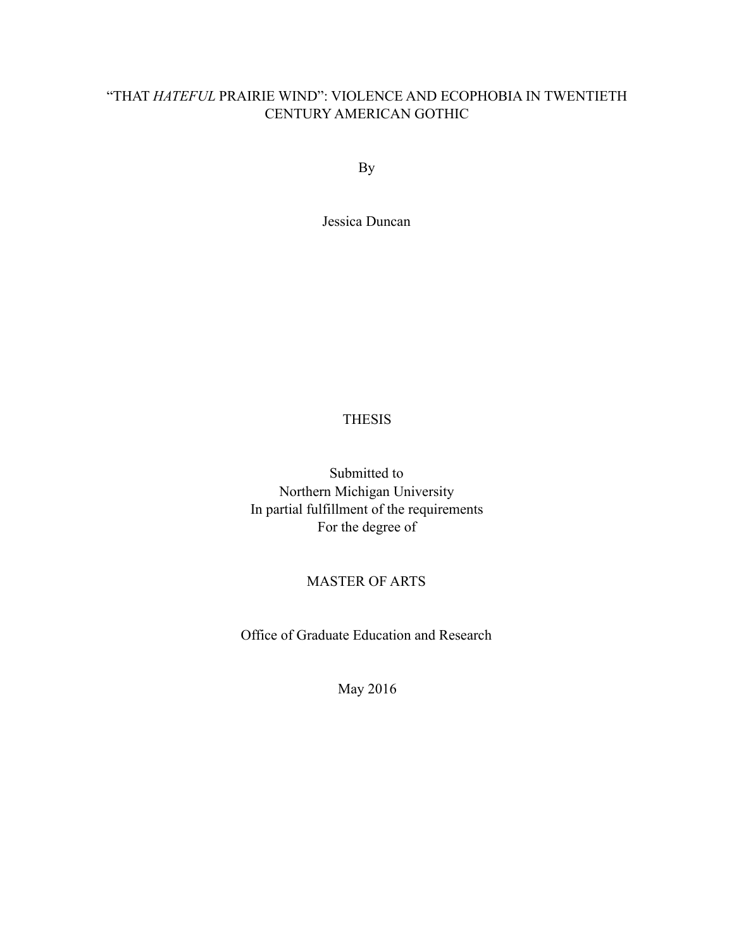# "THAT *HATEFUL* PRAIRIE WIND": VIOLENCE AND ECOPHOBIA IN TWENTIETH CENTURY AMERICAN GOTHIC

By

Jessica Duncan

# THESIS

Submitted to Northern Michigan University In partial fulfillment of the requirements For the degree of

# MASTER OF ARTS

Office of Graduate Education and Research

May 2016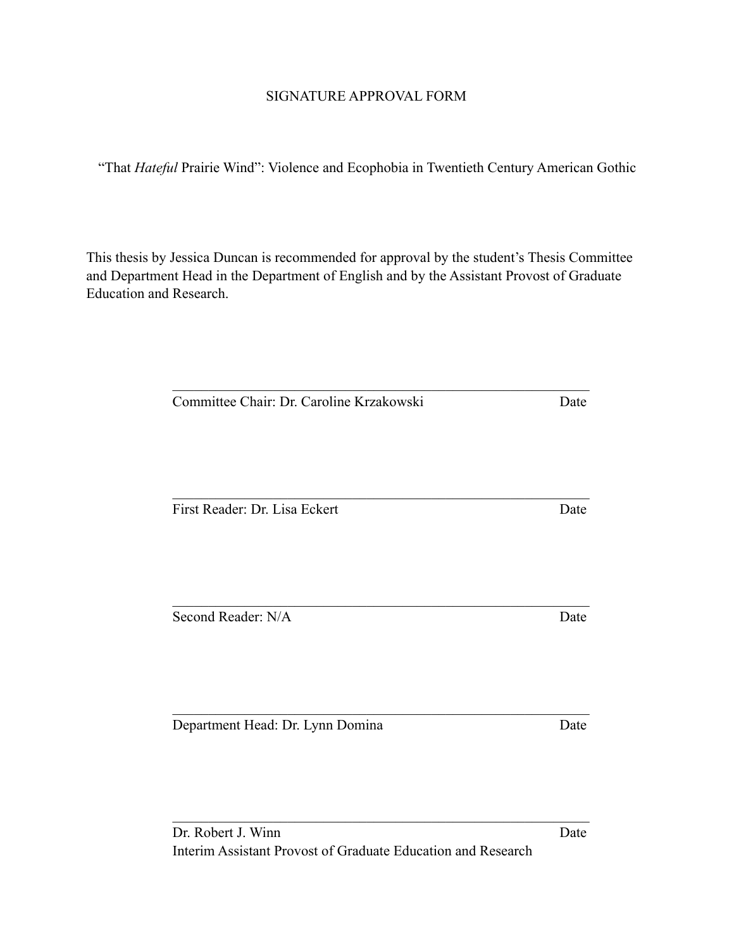# SIGNATURE APPROVAL FORM

"That *Hateful* Prairie Wind": Violence and Ecophobia in Twentieth Century American Gothic

This thesis by Jessica Duncan is recommended for approval by the student's Thesis Committee and Department Head in the Department of English and by the Assistant Provost of Graduate Education and Research.

 $\mathcal{L}_\text{max}$  , and the contribution of the contribution of the contribution of the contribution of the contribution of the contribution of the contribution of the contribution of the contribution of the contribution of t

 $\mathcal{L}_\text{max}$  , and the contribution of the contribution of the contribution of the contribution of the contribution of the contribution of the contribution of the contribution of the contribution of the contribution of t

Committee Chair: Dr. Caroline Krzakowski Date

First Reader: Dr. Lisa Eckert Date

Second Reader: N/A Date

Department Head: Dr. Lynn Domina Date

 $\mathcal{L}_\text{max}$  , and the contribution of the contribution of the contribution of the contribution of the contribution of the contribution of the contribution of the contribution of the contribution of the contribution of t

 $\mathcal{L}_\text{max}$  , and the contribution of the contribution of the contribution of the contribution of the contribution of the contribution of the contribution of the contribution of the contribution of the contribution of t

 $\mathcal{L}_\text{max}$  , and the contribution of the contribution of the contribution of the contribution of the contribution of the contribution of the contribution of the contribution of the contribution of the contribution of t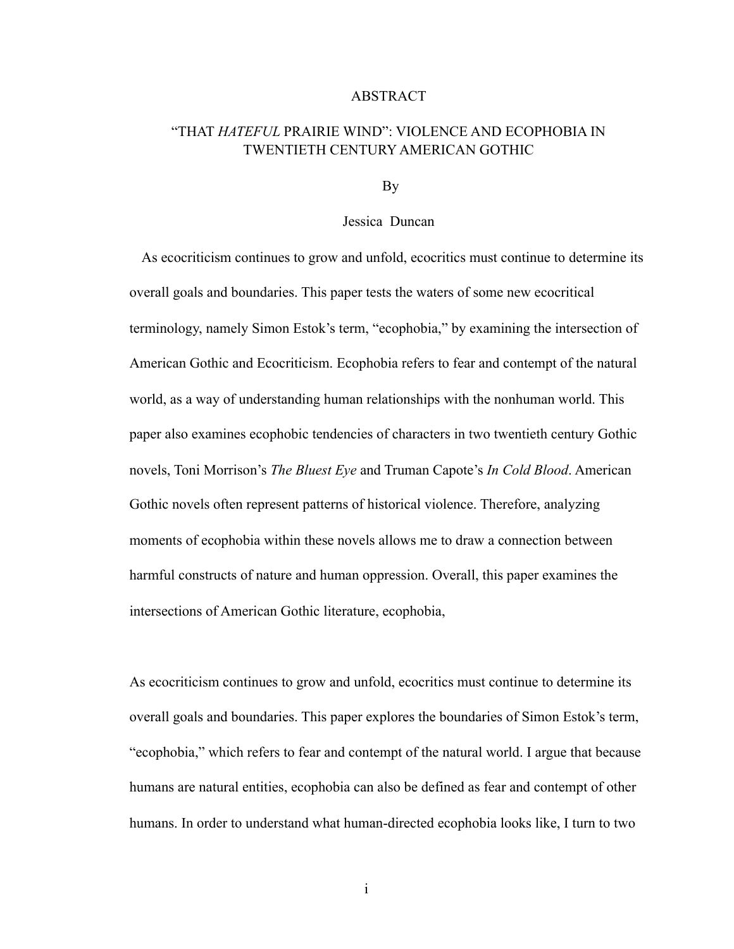# ABSTRACT

# "THAT *HATEFUL* PRAIRIE WIND": VIOLENCE AND ECOPHOBIA IN TWENTIETH CENTURY AMERICAN GOTHIC

By

## Jessica Duncan

 As ecocriticism continues to grow and unfold, ecocritics must continue to determine its overall goals and boundaries. This paper tests the waters of some new ecocritical terminology, namely Simon Estok's term, "ecophobia," by examining the intersection of American Gothic and Ecocriticism. Ecophobia refers to fear and contempt of the natural world, as a way of understanding human relationships with the nonhuman world. This paper also examines ecophobic tendencies of characters in two twentieth century Gothic novels, Toni Morrison's *The Bluest Eye* and Truman Capote's *In Cold Blood*. American Gothic novels often represent patterns of historical violence. Therefore, analyzing moments of ecophobia within these novels allows me to draw a connection between harmful constructs of nature and human oppression. Overall, this paper examines the intersections of American Gothic literature, ecophobia,

As ecocriticism continues to grow and unfold, ecocritics must continue to determine its overall goals and boundaries. This paper explores the boundaries of Simon Estok's term, "ecophobia," which refers to fear and contempt of the natural world. I argue that because humans are natural entities, ecophobia can also be defined as fear and contempt of other humans. In order to understand what human-directed ecophobia looks like, I turn to two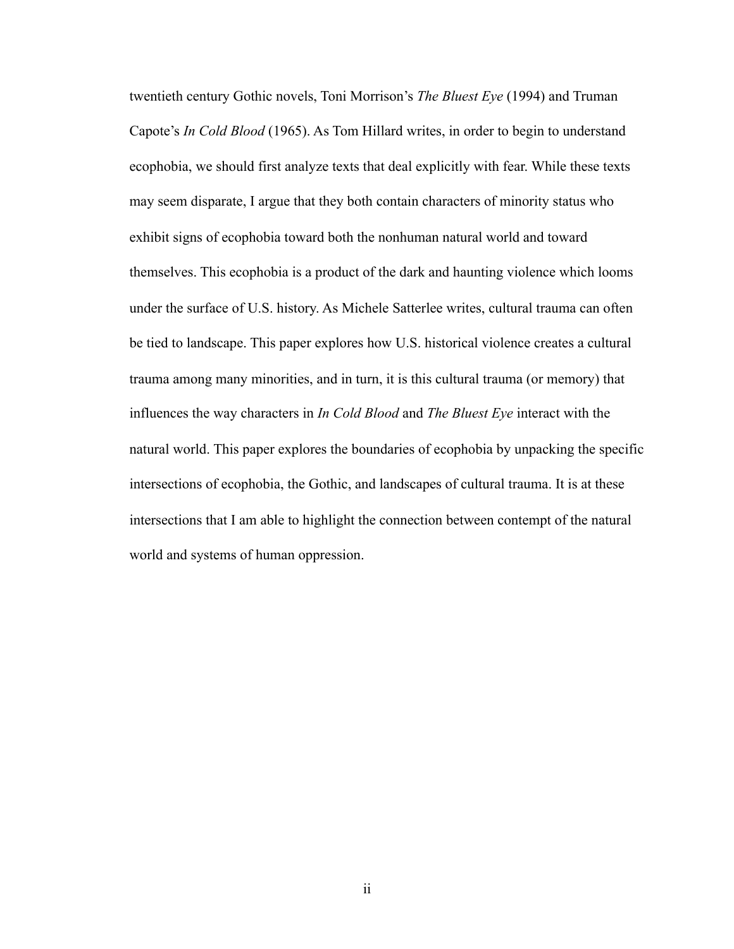twentieth century Gothic novels, Toni Morrison's *The Bluest Eye* (1994) and Truman Capote's *In Cold Blood* (1965). As Tom Hillard writes, in order to begin to understand ecophobia, we should first analyze texts that deal explicitly with fear. While these texts may seem disparate, I argue that they both contain characters of minority status who exhibit signs of ecophobia toward both the nonhuman natural world and toward themselves. This ecophobia is a product of the dark and haunting violence which looms under the surface of U.S. history. As Michele Satterlee writes, cultural trauma can often be tied to landscape. This paper explores how U.S. historical violence creates a cultural trauma among many minorities, and in turn, it is this cultural trauma (or memory) that influences the way characters in *In Cold Blood* and *The Bluest Eye* interact with the natural world. This paper explores the boundaries of ecophobia by unpacking the specific intersections of ecophobia, the Gothic, and landscapes of cultural trauma. It is at these intersections that I am able to highlight the connection between contempt of the natural world and systems of human oppression.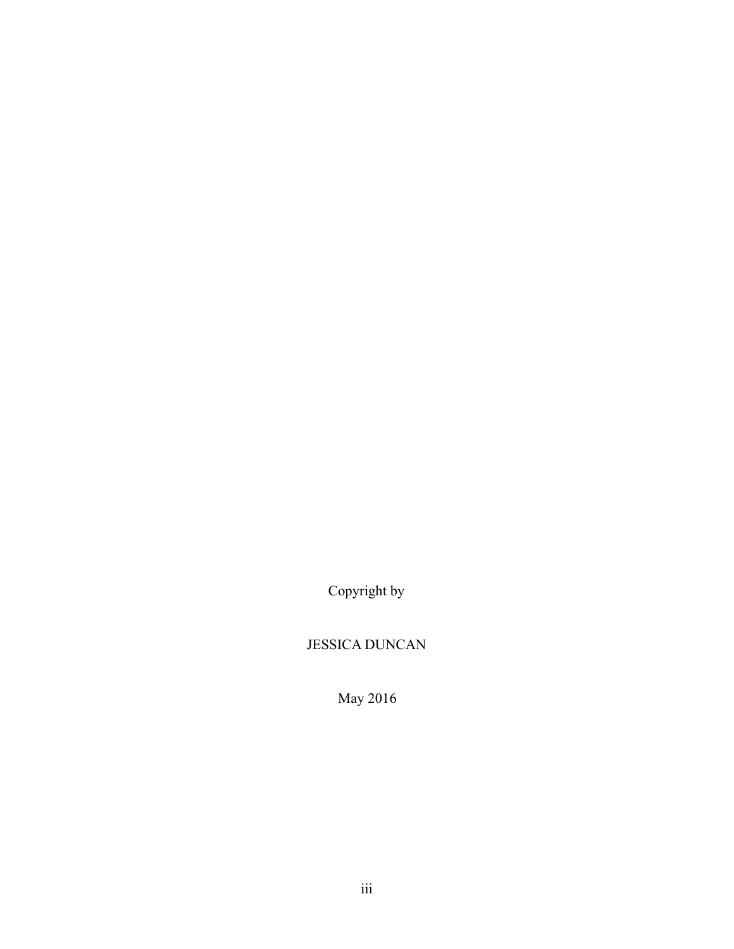Copyright by

# JESSICA DUNCAN

May 2016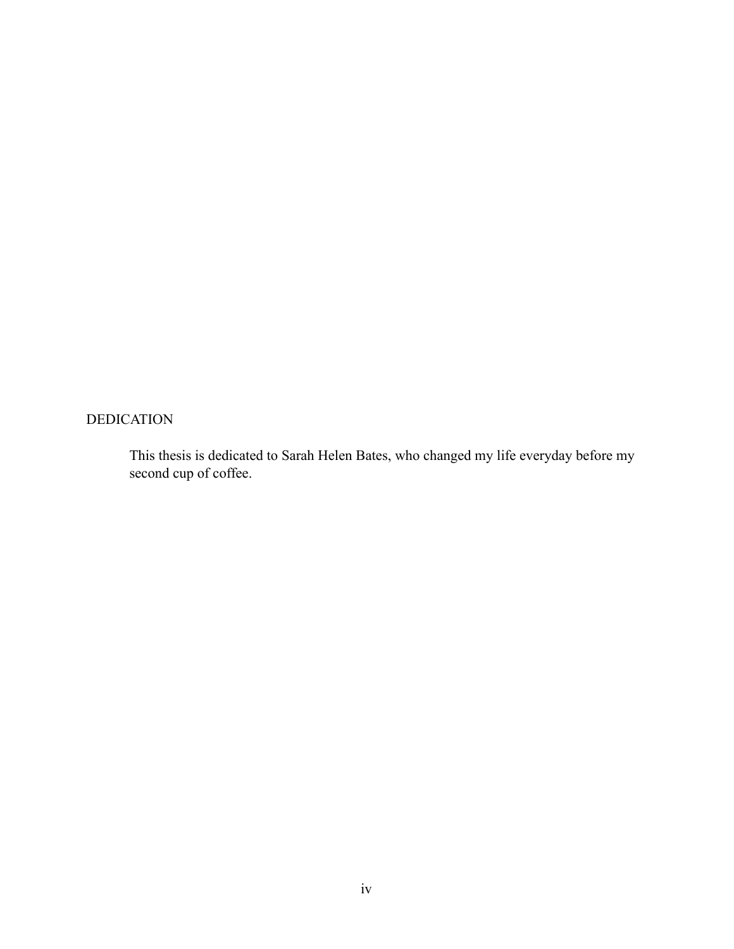# DEDICATION

This thesis is dedicated to Sarah Helen Bates, who changed my life everyday before my second cup of coffee.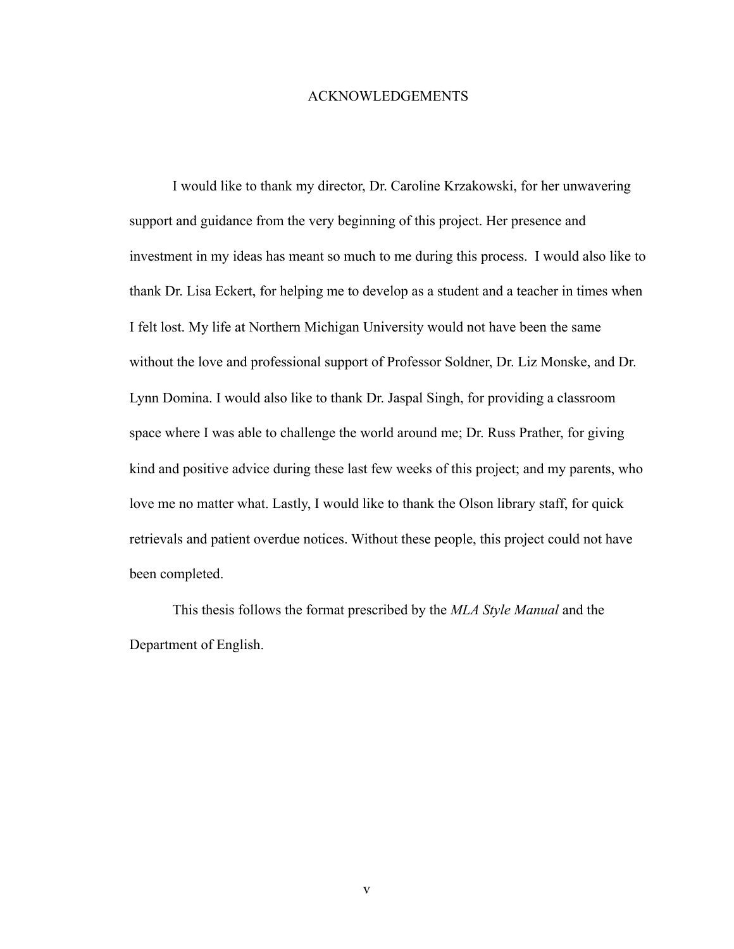## ACKNOWLEDGEMENTS

 I would like to thank my director, Dr. Caroline Krzakowski, for her unwavering support and guidance from the very beginning of this project. Her presence and investment in my ideas has meant so much to me during this process. I would also like to thank Dr. Lisa Eckert, for helping me to develop as a student and a teacher in times when I felt lost. My life at Northern Michigan University would not have been the same without the love and professional support of Professor Soldner, Dr. Liz Monske, and Dr. Lynn Domina. I would also like to thank Dr. Jaspal Singh, for providing a classroom space where I was able to challenge the world around me; Dr. Russ Prather, for giving kind and positive advice during these last few weeks of this project; and my parents, who love me no matter what. Lastly, I would like to thank the Olson library staff, for quick retrievals and patient overdue notices. Without these people, this project could not have been completed.

 This thesis follows the format prescribed by the *MLA Style Manual* and the Department of English.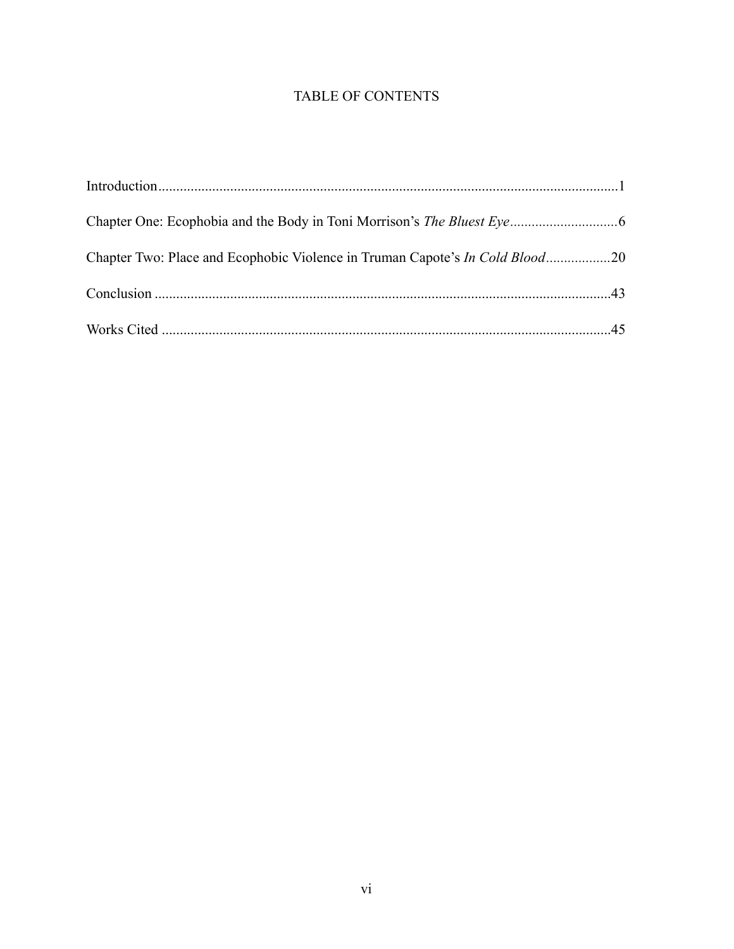# TABLE OF CONTENTS

| Chapter Two: Place and Ecophobic Violence in Truman Capote's In Cold Blood20 |  |
|------------------------------------------------------------------------------|--|
|                                                                              |  |
|                                                                              |  |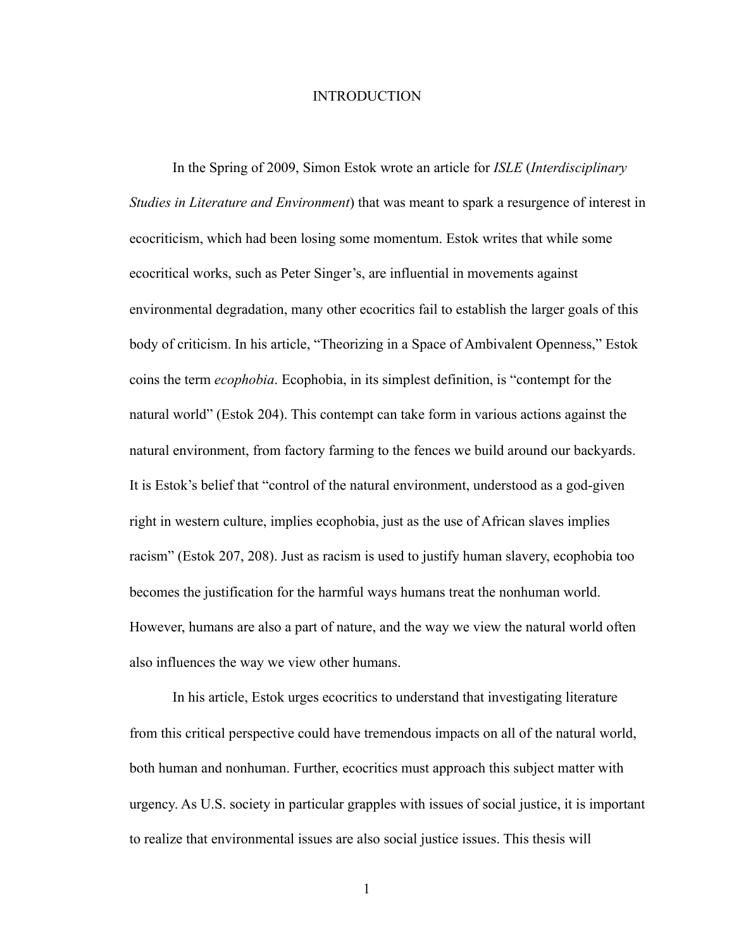## **INTRODUCTION**

In the Spring of 2009, Simon Estok wrote an article for *ISLE* (*Interdisciplinary Studies in Literature and Environment*) that was meant to spark a resurgence of interest in ecocriticism, which had been losing some momentum. Estok writes that while some ecocritical works, such as Peter Singer's, are influential in movements against environmental degradation, many other ecocritics fail to establish the larger goals of this body of criticism. In his article, "Theorizing in a Space of Ambivalent Openness," Estok coins the term *ecophobia*. Ecophobia, in its simplest definition, is "contempt for the natural world" (Estok 204). This contempt can take form in various actions against the natural environment, from factory farming to the fences we build around our backyards. It is Estok's belief that "control of the natural environment, understood as a god-given right in western culture, implies ecophobia, just as the use of African slaves implies racism" (Estok 207, 208). Just as racism is used to justify human slavery, ecophobia too becomes the justification for the harmful ways humans treat the nonhuman world. However, humans are also a part of nature, and the way we view the natural world often also influences the way we view other humans.

 In his article, Estok urges ecocritics to understand that investigating literature from this critical perspective could have tremendous impacts on all of the natural world, both human and nonhuman. Further, ecocritics must approach this subject matter with urgency. As U.S. society in particular grapples with issues of social justice, it is important to realize that environmental issues are also social justice issues. This thesis will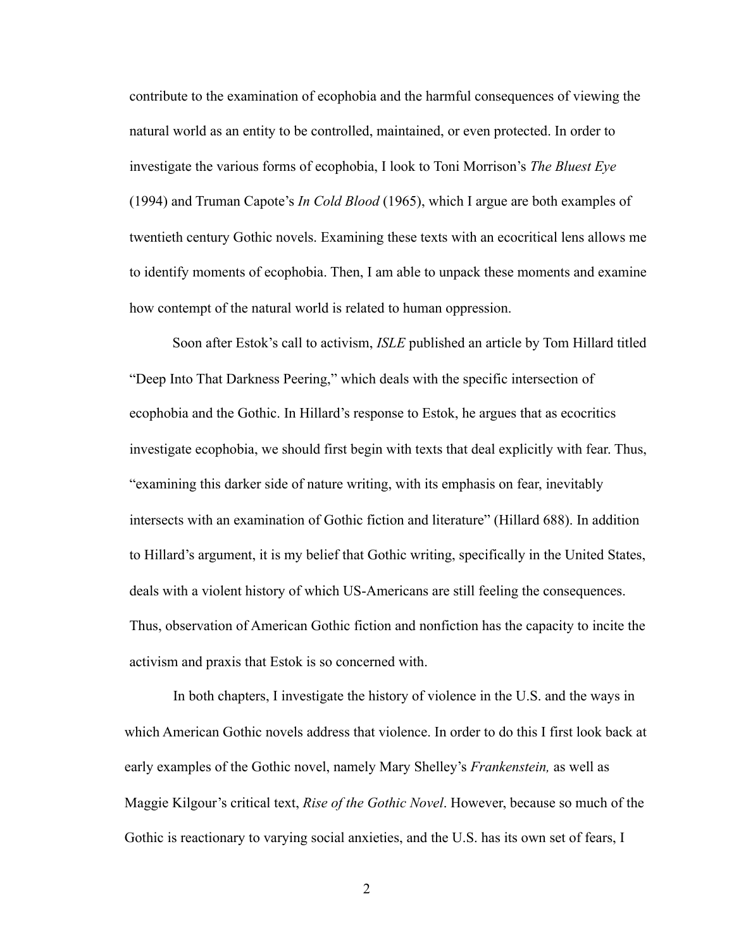contribute to the examination of ecophobia and the harmful consequences of viewing the natural world as an entity to be controlled, maintained, or even protected. In order to investigate the various forms of ecophobia, I look to Toni Morrison's *The Bluest Eye*  (1994) and Truman Capote's *In Cold Blood* (1965), which I argue are both examples of twentieth century Gothic novels. Examining these texts with an ecocritical lens allows me to identify moments of ecophobia. Then, I am able to unpack these moments and examine how contempt of the natural world is related to human oppression.

 Soon after Estok's call to activism, *ISLE* published an article by Tom Hillard titled "Deep Into That Darkness Peering," which deals with the specific intersection of ecophobia and the Gothic. In Hillard's response to Estok, he argues that as ecocritics investigate ecophobia, we should first begin with texts that deal explicitly with fear. Thus, "examining this darker side of nature writing, with its emphasis on fear, inevitably intersects with an examination of Gothic fiction and literature" (Hillard 688). In addition to Hillard's argument, it is my belief that Gothic writing, specifically in the United States, deals with a violent history of which US-Americans are still feeling the consequences. Thus, observation of American Gothic fiction and nonfiction has the capacity to incite the activism and praxis that Estok is so concerned with.

 In both chapters, I investigate the history of violence in the U.S. and the ways in which American Gothic novels address that violence. In order to do this I first look back at early examples of the Gothic novel, namely Mary Shelley's *Frankenstein,* as well as Maggie Kilgour's critical text, *Rise of the Gothic Novel*. However, because so much of the Gothic is reactionary to varying social anxieties, and the U.S. has its own set of fears, I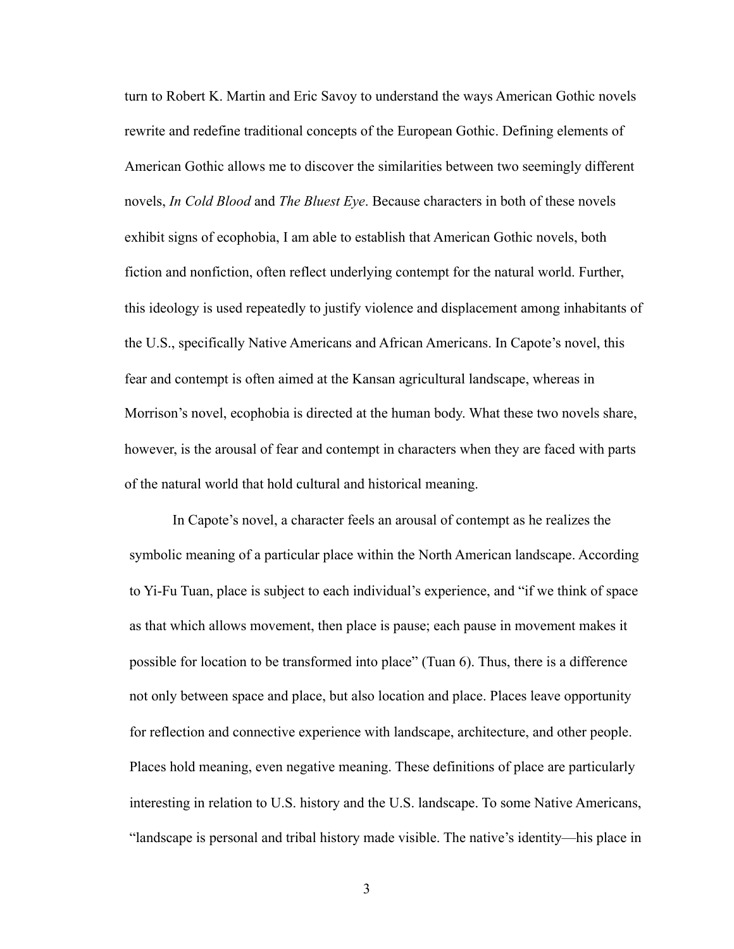turn to Robert K. Martin and Eric Savoy to understand the ways American Gothic novels rewrite and redefine traditional concepts of the European Gothic. Defining elements of American Gothic allows me to discover the similarities between two seemingly different novels, *In Cold Blood* and *The Bluest Eye*. Because characters in both of these novels exhibit signs of ecophobia, I am able to establish that American Gothic novels, both fiction and nonfiction, often reflect underlying contempt for the natural world. Further, this ideology is used repeatedly to justify violence and displacement among inhabitants of the U.S., specifically Native Americans and African Americans. In Capote's novel, this fear and contempt is often aimed at the Kansan agricultural landscape, whereas in Morrison's novel, ecophobia is directed at the human body. What these two novels share, however, is the arousal of fear and contempt in characters when they are faced with parts of the natural world that hold cultural and historical meaning.

 In Capote's novel, a character feels an arousal of contempt as he realizes the symbolic meaning of a particular place within the North American landscape. According to Yi-Fu Tuan, place is subject to each individual's experience, and "if we think of space as that which allows movement, then place is pause; each pause in movement makes it possible for location to be transformed into place" (Tuan 6). Thus, there is a difference not only between space and place, but also location and place. Places leave opportunity for reflection and connective experience with landscape, architecture, and other people. Places hold meaning, even negative meaning. These definitions of place are particularly interesting in relation to U.S. history and the U.S. landscape. To some Native Americans, "landscape is personal and tribal history made visible. The native's identity—his place in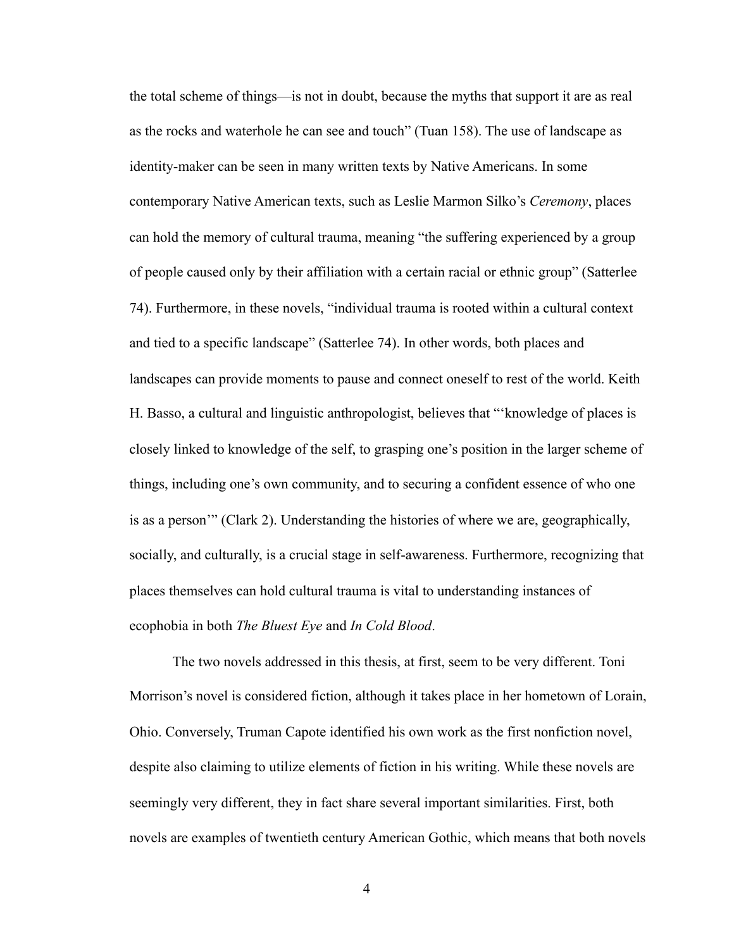the total scheme of things—is not in doubt, because the myths that support it are as real as the rocks and waterhole he can see and touch" (Tuan 158). The use of landscape as identity-maker can be seen in many written texts by Native Americans. In some contemporary Native American texts, such as Leslie Marmon Silko's *Ceremony*, places can hold the memory of cultural trauma, meaning "the suffering experienced by a group of people caused only by their affiliation with a certain racial or ethnic group" (Satterlee 74). Furthermore, in these novels, "individual trauma is rooted within a cultural context and tied to a specific landscape" (Satterlee 74). In other words, both places and landscapes can provide moments to pause and connect oneself to rest of the world. Keith H. Basso, a cultural and linguistic anthropologist, believes that "'knowledge of places is closely linked to knowledge of the self, to grasping one's position in the larger scheme of things, including one's own community, and to securing a confident essence of who one is as a person'" (Clark 2). Understanding the histories of where we are, geographically, socially, and culturally, is a crucial stage in self-awareness. Furthermore, recognizing that places themselves can hold cultural trauma is vital to understanding instances of ecophobia in both *The Bluest Eye* and *In Cold Blood*.

 The two novels addressed in this thesis, at first, seem to be very different. Toni Morrison's novel is considered fiction, although it takes place in her hometown of Lorain, Ohio. Conversely, Truman Capote identified his own work as the first nonfiction novel, despite also claiming to utilize elements of fiction in his writing. While these novels are seemingly very different, they in fact share several important similarities. First, both novels are examples of twentieth century American Gothic, which means that both novels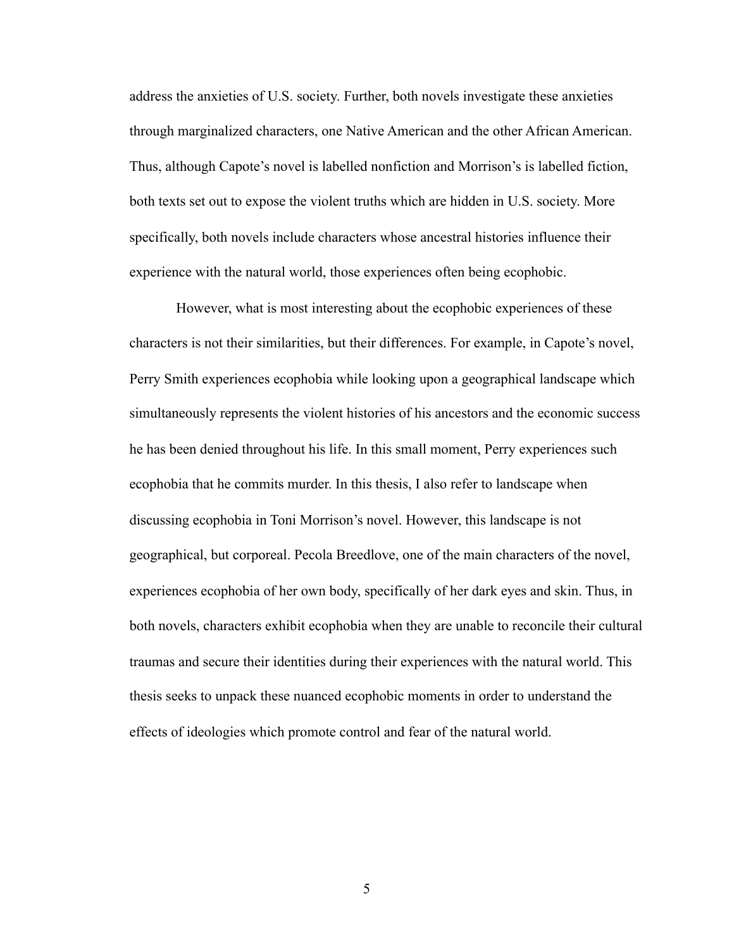address the anxieties of U.S. society. Further, both novels investigate these anxieties through marginalized characters, one Native American and the other African American. Thus, although Capote's novel is labelled nonfiction and Morrison's is labelled fiction, both texts set out to expose the violent truths which are hidden in U.S. society. More specifically, both novels include characters whose ancestral histories influence their experience with the natural world, those experiences often being ecophobic.

 However, what is most interesting about the ecophobic experiences of these characters is not their similarities, but their differences. For example, in Capote's novel, Perry Smith experiences ecophobia while looking upon a geographical landscape which simultaneously represents the violent histories of his ancestors and the economic success he has been denied throughout his life. In this small moment, Perry experiences such ecophobia that he commits murder. In this thesis, I also refer to landscape when discussing ecophobia in Toni Morrison's novel. However, this landscape is not geographical, but corporeal. Pecola Breedlove, one of the main characters of the novel, experiences ecophobia of her own body, specifically of her dark eyes and skin. Thus, in both novels, characters exhibit ecophobia when they are unable to reconcile their cultural traumas and secure their identities during their experiences with the natural world. This thesis seeks to unpack these nuanced ecophobic moments in order to understand the effects of ideologies which promote control and fear of the natural world.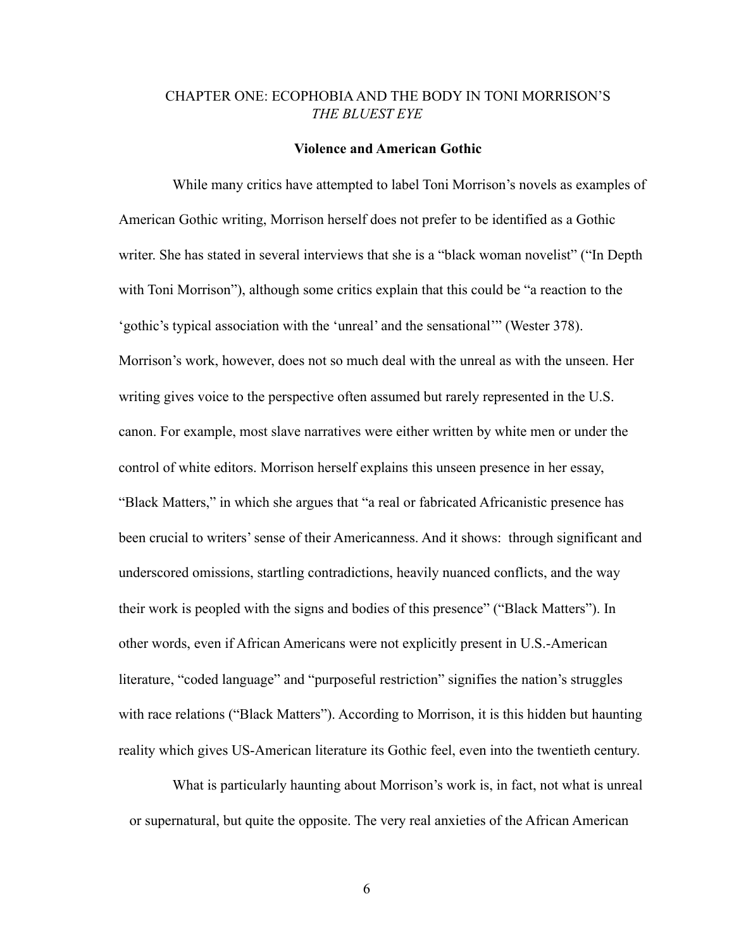# CHAPTER ONE: ECOPHOBIA AND THE BODY IN TONI MORRISON'S *THE BLUEST EYE*

#### **Violence and American Gothic**

While many critics have attempted to label Toni Morrison's novels as examples of American Gothic writing, Morrison herself does not prefer to be identified as a Gothic writer. She has stated in several interviews that she is a "black woman novelist" ("In Depth with Toni Morrison"), although some critics explain that this could be "a reaction to the 'gothic's typical association with the 'unreal' and the sensational'" (Wester 378). Morrison's work, however, does not so much deal with the unreal as with the unseen. Her writing gives voice to the perspective often assumed but rarely represented in the U.S. canon. For example, most slave narratives were either written by white men or under the control of white editors. Morrison herself explains this unseen presence in her essay, "Black Matters," in which she argues that "a real or fabricated Africanistic presence has been crucial to writers' sense of their Americanness. And it shows: through significant and underscored omissions, startling contradictions, heavily nuanced conflicts, and the way their work is peopled with the signs and bodies of this presence" ("Black Matters"). In other words, even if African Americans were not explicitly present in U.S.-American literature, "coded language" and "purposeful restriction" signifies the nation's struggles with race relations ("Black Matters"). According to Morrison, it is this hidden but haunting reality which gives US-American literature its Gothic feel, even into the twentieth century.

 What is particularly haunting about Morrison's work is, in fact, not what is unreal or supernatural, but quite the opposite. The very real anxieties of the African American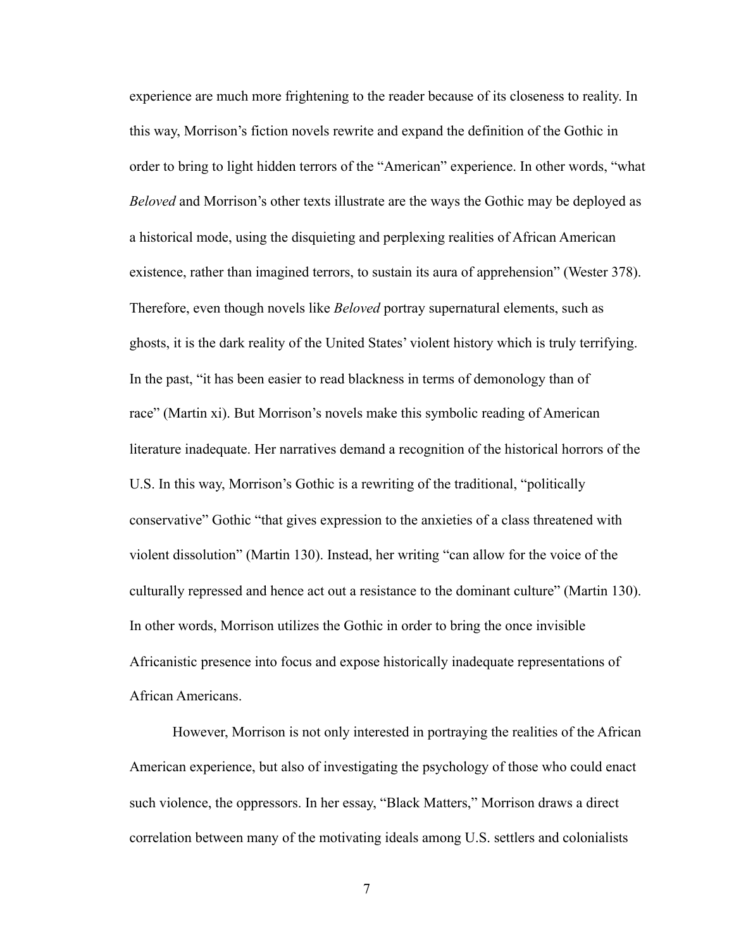experience are much more frightening to the reader because of its closeness to reality. In this way, Morrison's fiction novels rewrite and expand the definition of the Gothic in order to bring to light hidden terrors of the "American" experience. In other words, "what *Beloved* and Morrison's other texts illustrate are the ways the Gothic may be deployed as a historical mode, using the disquieting and perplexing realities of African American existence, rather than imagined terrors, to sustain its aura of apprehension" (Wester 378). Therefore, even though novels like *Beloved* portray supernatural elements, such as ghosts, it is the dark reality of the United States' violent history which is truly terrifying. In the past, "it has been easier to read blackness in terms of demonology than of race" (Martin xi). But Morrison's novels make this symbolic reading of American literature inadequate. Her narratives demand a recognition of the historical horrors of the U.S. In this way, Morrison's Gothic is a rewriting of the traditional, "politically conservative" Gothic "that gives expression to the anxieties of a class threatened with violent dissolution" (Martin 130). Instead, her writing "can allow for the voice of the culturally repressed and hence act out a resistance to the dominant culture" (Martin 130). In other words, Morrison utilizes the Gothic in order to bring the once invisible Africanistic presence into focus and expose historically inadequate representations of African Americans.

 However, Morrison is not only interested in portraying the realities of the African American experience, but also of investigating the psychology of those who could enact such violence, the oppressors. In her essay, "Black Matters," Morrison draws a direct correlation between many of the motivating ideals among U.S. settlers and colonialists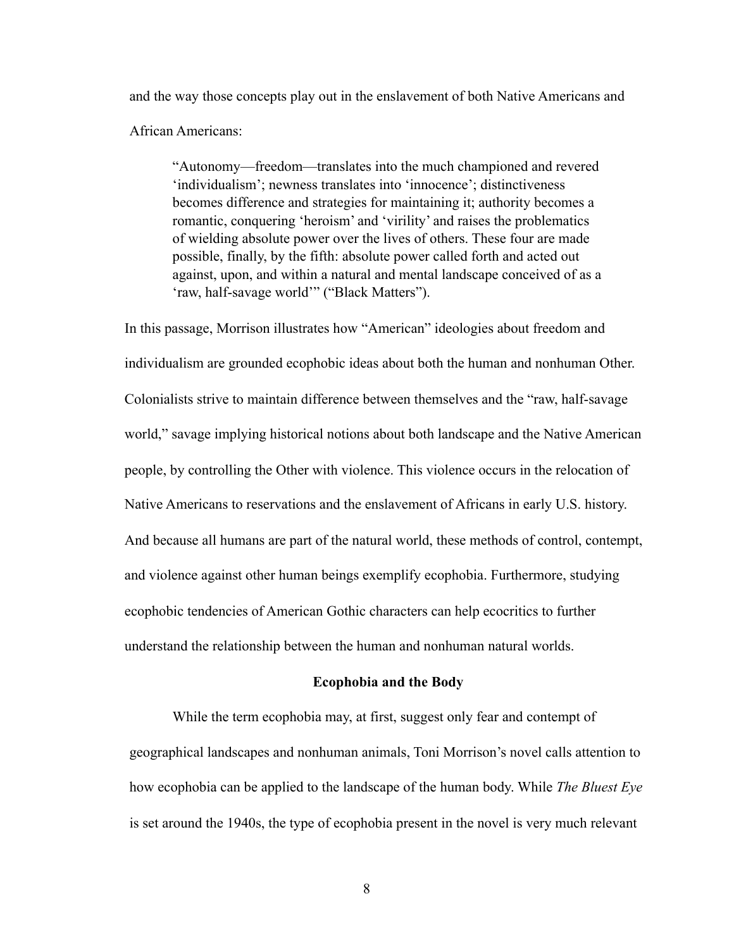and the way those concepts play out in the enslavement of both Native Americans and African Americans:

"Autonomy—freedom—translates into the much championed and revered 'individualism'; newness translates into 'innocence'; distinctiveness becomes difference and strategies for maintaining it; authority becomes a romantic, conquering 'heroism' and 'virility' and raises the problematics of wielding absolute power over the lives of others. These four are made possible, finally, by the fifth: absolute power called forth and acted out against, upon, and within a natural and mental landscape conceived of as a 'raw, half-savage world'" ("Black Matters").

In this passage, Morrison illustrates how "American" ideologies about freedom and individualism are grounded ecophobic ideas about both the human and nonhuman Other. Colonialists strive to maintain difference between themselves and the "raw, half-savage world," savage implying historical notions about both landscape and the Native American people, by controlling the Other with violence. This violence occurs in the relocation of Native Americans to reservations and the enslavement of Africans in early U.S. history. And because all humans are part of the natural world, these methods of control, contempt, and violence against other human beings exemplify ecophobia. Furthermore, studying ecophobic tendencies of American Gothic characters can help ecocritics to further understand the relationship between the human and nonhuman natural worlds.

# **Ecophobia and the Body**

 While the term ecophobia may, at first, suggest only fear and contempt of geographical landscapes and nonhuman animals, Toni Morrison's novel calls attention to how ecophobia can be applied to the landscape of the human body. While *The Bluest Eye*  is set around the 1940s, the type of ecophobia present in the novel is very much relevant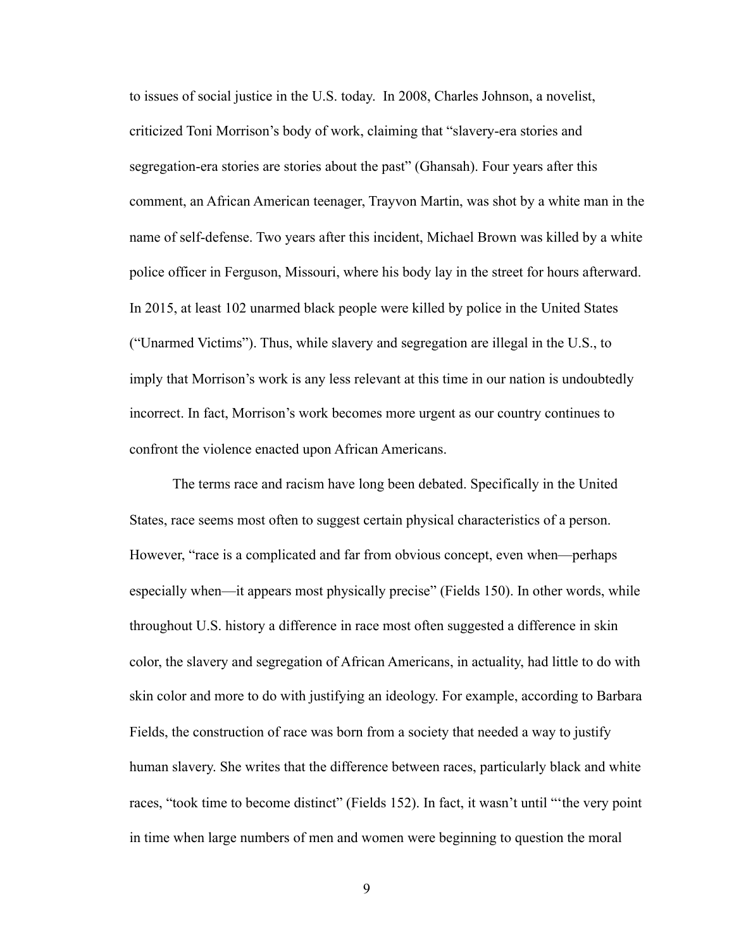to issues of social justice in the U.S. today. In 2008, Charles Johnson, a novelist, criticized Toni Morrison's body of work, claiming that "slavery-era stories and segregation-era stories are stories about the past" (Ghansah). Four years after this comment, an African American teenager, Trayvon Martin, was shot by a white man in the name of self-defense. Two years after this incident, Michael Brown was killed by a white police officer in Ferguson, Missouri, where his body lay in the street for hours afterward. In 2015, at least 102 unarmed black people were killed by police in the United States ("Unarmed Victims"). Thus, while slavery and segregation are illegal in the U.S., to imply that Morrison's work is any less relevant at this time in our nation is undoubtedly incorrect. In fact, Morrison's work becomes more urgent as our country continues to confront the violence enacted upon African Americans.

 The terms race and racism have long been debated. Specifically in the United States, race seems most often to suggest certain physical characteristics of a person. However, "race is a complicated and far from obvious concept, even when—perhaps especially when—it appears most physically precise" (Fields 150). In other words, while throughout U.S. history a difference in race most often suggested a difference in skin color, the slavery and segregation of African Americans, in actuality, had little to do with skin color and more to do with justifying an ideology. For example, according to Barbara Fields, the construction of race was born from a society that needed a way to justify human slavery. She writes that the difference between races, particularly black and white races, "took time to become distinct" (Fields 152). In fact, it wasn't until "'the very point in time when large numbers of men and women were beginning to question the moral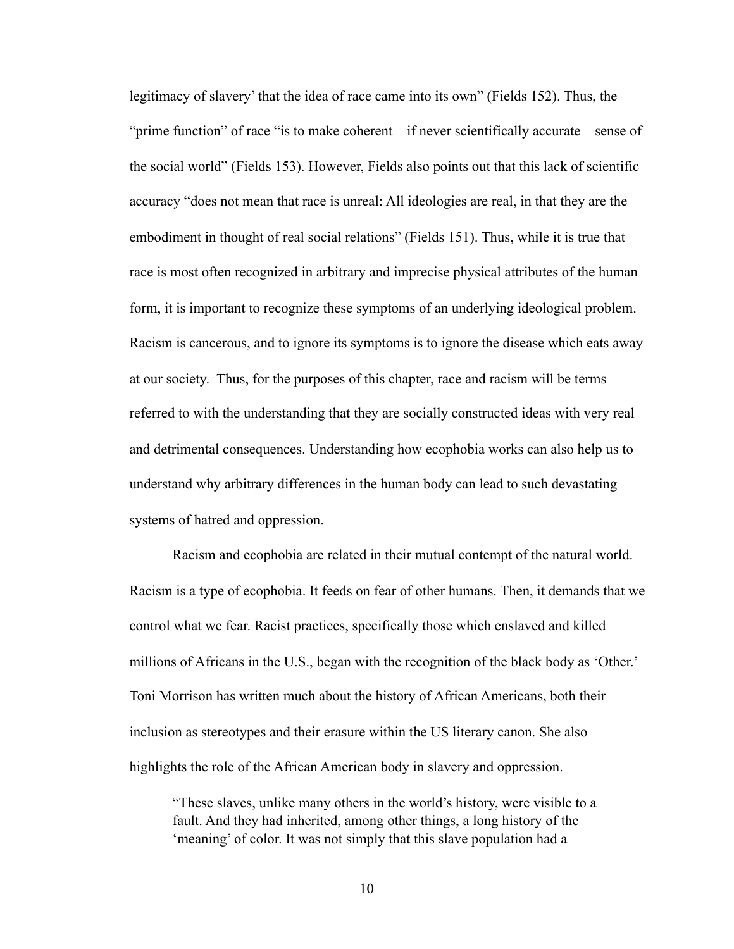legitimacy of slavery' that the idea of race came into its own" (Fields 152). Thus, the "prime function" of race "is to make coherent—if never scientifically accurate—sense of the social world" (Fields 153). However, Fields also points out that this lack of scientific accuracy "does not mean that race is unreal: All ideologies are real, in that they are the embodiment in thought of real social relations" (Fields 151). Thus, while it is true that race is most often recognized in arbitrary and imprecise physical attributes of the human form, it is important to recognize these symptoms of an underlying ideological problem. Racism is cancerous, and to ignore its symptoms is to ignore the disease which eats away at our society. Thus, for the purposes of this chapter, race and racism will be terms referred to with the understanding that they are socially constructed ideas with very real and detrimental consequences. Understanding how ecophobia works can also help us to understand why arbitrary differences in the human body can lead to such devastating systems of hatred and oppression.

 Racism and ecophobia are related in their mutual contempt of the natural world. Racism is a type of ecophobia. It feeds on fear of other humans. Then, it demands that we control what we fear. Racist practices, specifically those which enslaved and killed millions of Africans in the U.S., began with the recognition of the black body as 'Other.' Toni Morrison has written much about the history of African Americans, both their inclusion as stereotypes and their erasure within the US literary canon. She also highlights the role of the African American body in slavery and oppression.

"These slaves, unlike many others in the world's history, were visible to a fault. And they had inherited, among other things, a long history of the 'meaning' of color. It was not simply that this slave population had a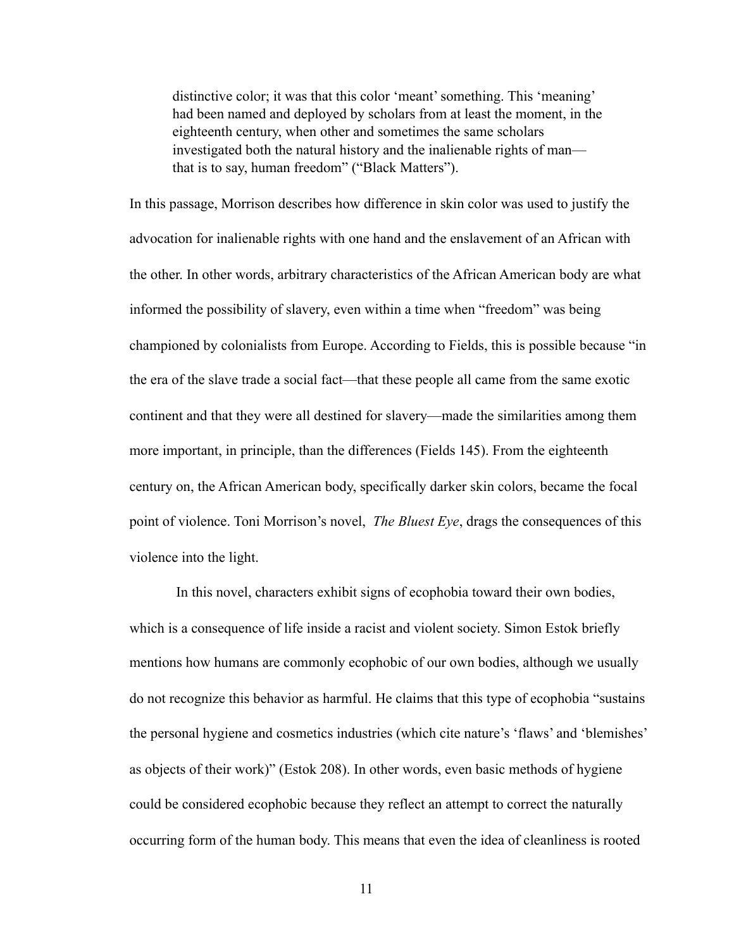distinctive color; it was that this color 'meant' something. This 'meaning' had been named and deployed by scholars from at least the moment, in the eighteenth century, when other and sometimes the same scholars investigated both the natural history and the inalienable rights of man that is to say, human freedom" ("Black Matters").

In this passage, Morrison describes how difference in skin color was used to justify the advocation for inalienable rights with one hand and the enslavement of an African with the other. In other words, arbitrary characteristics of the African American body are what informed the possibility of slavery, even within a time when "freedom" was being championed by colonialists from Europe. According to Fields, this is possible because "in the era of the slave trade a social fact—that these people all came from the same exotic continent and that they were all destined for slavery—made the similarities among them more important, in principle, than the differences (Fields 145). From the eighteenth century on, the African American body, specifically darker skin colors, became the focal point of violence. Toni Morrison's novel, *The Bluest Eye*, drags the consequences of this violence into the light.

 In this novel, characters exhibit signs of ecophobia toward their own bodies, which is a consequence of life inside a racist and violent society. Simon Estok briefly mentions how humans are commonly ecophobic of our own bodies, although we usually do not recognize this behavior as harmful. He claims that this type of ecophobia "sustains the personal hygiene and cosmetics industries (which cite nature's 'flaws' and 'blemishes' as objects of their work)" (Estok 208). In other words, even basic methods of hygiene could be considered ecophobic because they reflect an attempt to correct the naturally occurring form of the human body. This means that even the idea of cleanliness is rooted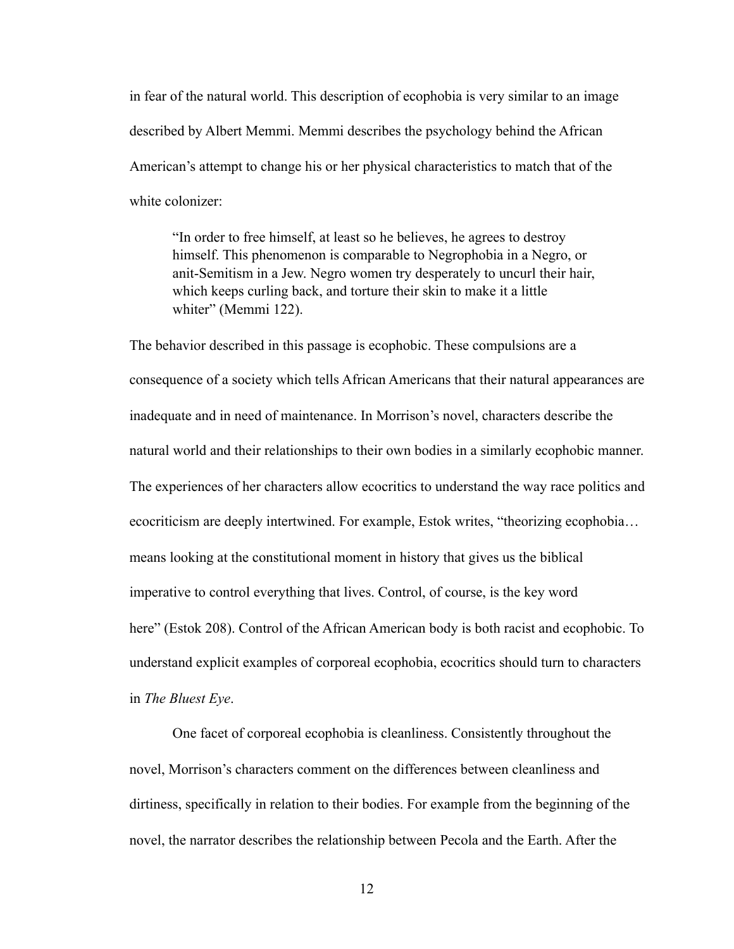in fear of the natural world. This description of ecophobia is very similar to an image described by Albert Memmi. Memmi describes the psychology behind the African American's attempt to change his or her physical characteristics to match that of the white colonizer:

"In order to free himself, at least so he believes, he agrees to destroy himself. This phenomenon is comparable to Negrophobia in a Negro, or anit-Semitism in a Jew. Negro women try desperately to uncurl their hair, which keeps curling back, and torture their skin to make it a little whiter" (Memmi 122).

The behavior described in this passage is ecophobic. These compulsions are a consequence of a society which tells African Americans that their natural appearances are inadequate and in need of maintenance. In Morrison's novel, characters describe the natural world and their relationships to their own bodies in a similarly ecophobic manner. The experiences of her characters allow ecocritics to understand the way race politics and ecocriticism are deeply intertwined. For example, Estok writes, "theorizing ecophobia… means looking at the constitutional moment in history that gives us the biblical imperative to control everything that lives. Control, of course, is the key word here" (Estok 208). Control of the African American body is both racist and ecophobic. To understand explicit examples of corporeal ecophobia, ecocritics should turn to characters in *The Bluest Eye*.

 One facet of corporeal ecophobia is cleanliness. Consistently throughout the novel, Morrison's characters comment on the differences between cleanliness and dirtiness, specifically in relation to their bodies. For example from the beginning of the novel, the narrator describes the relationship between Pecola and the Earth. After the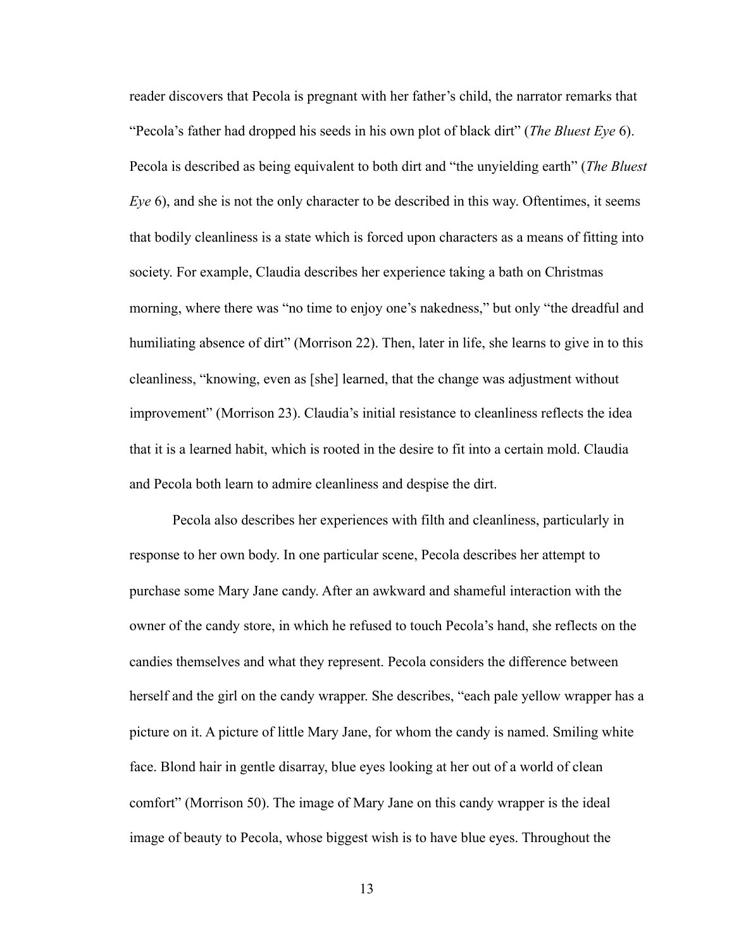reader discovers that Pecola is pregnant with her father's child, the narrator remarks that "Pecola's father had dropped his seeds in his own plot of black dirt" (*The Bluest Eye* 6). Pecola is described as being equivalent to both dirt and "the unyielding earth" (*The Bluest Eye* 6), and she is not the only character to be described in this way. Oftentimes, it seems that bodily cleanliness is a state which is forced upon characters as a means of fitting into society. For example, Claudia describes her experience taking a bath on Christmas morning, where there was "no time to enjoy one's nakedness," but only "the dreadful and humiliating absence of dirt" (Morrison 22). Then, later in life, she learns to give in to this cleanliness, "knowing, even as [she] learned, that the change was adjustment without improvement" (Morrison 23). Claudia's initial resistance to cleanliness reflects the idea that it is a learned habit, which is rooted in the desire to fit into a certain mold. Claudia and Pecola both learn to admire cleanliness and despise the dirt.

 Pecola also describes her experiences with filth and cleanliness, particularly in response to her own body. In one particular scene, Pecola describes her attempt to purchase some Mary Jane candy. After an awkward and shameful interaction with the owner of the candy store, in which he refused to touch Pecola's hand, she reflects on the candies themselves and what they represent. Pecola considers the difference between herself and the girl on the candy wrapper. She describes, "each pale yellow wrapper has a picture on it. A picture of little Mary Jane, for whom the candy is named. Smiling white face. Blond hair in gentle disarray, blue eyes looking at her out of a world of clean comfort" (Morrison 50). The image of Mary Jane on this candy wrapper is the ideal image of beauty to Pecola, whose biggest wish is to have blue eyes. Throughout the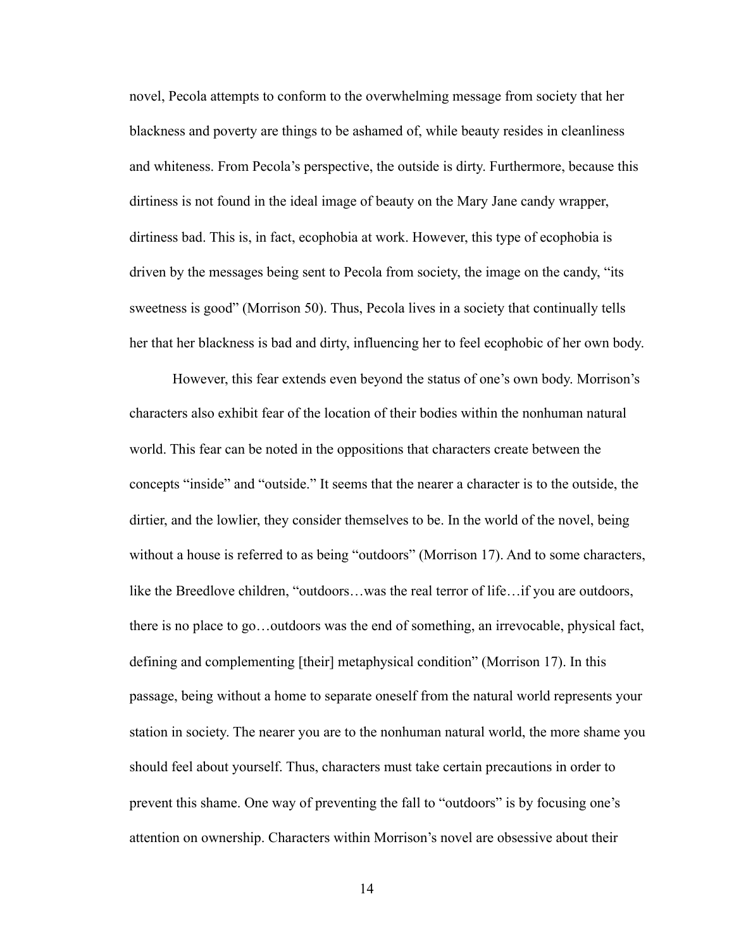novel, Pecola attempts to conform to the overwhelming message from society that her blackness and poverty are things to be ashamed of, while beauty resides in cleanliness and whiteness. From Pecola's perspective, the outside is dirty. Furthermore, because this dirtiness is not found in the ideal image of beauty on the Mary Jane candy wrapper, dirtiness bad. This is, in fact, ecophobia at work. However, this type of ecophobia is driven by the messages being sent to Pecola from society, the image on the candy, "its sweetness is good" (Morrison 50). Thus, Pecola lives in a society that continually tells her that her blackness is bad and dirty, influencing her to feel ecophobic of her own body.

 However, this fear extends even beyond the status of one's own body. Morrison's characters also exhibit fear of the location of their bodies within the nonhuman natural world. This fear can be noted in the oppositions that characters create between the concepts "inside" and "outside." It seems that the nearer a character is to the outside, the dirtier, and the lowlier, they consider themselves to be. In the world of the novel, being without a house is referred to as being "outdoors" (Morrison 17). And to some characters, like the Breedlove children, "outdoors…was the real terror of life…if you are outdoors, there is no place to go…outdoors was the end of something, an irrevocable, physical fact, defining and complementing [their] metaphysical condition" (Morrison 17). In this passage, being without a home to separate oneself from the natural world represents your station in society. The nearer you are to the nonhuman natural world, the more shame you should feel about yourself. Thus, characters must take certain precautions in order to prevent this shame. One way of preventing the fall to "outdoors" is by focusing one's attention on ownership. Characters within Morrison's novel are obsessive about their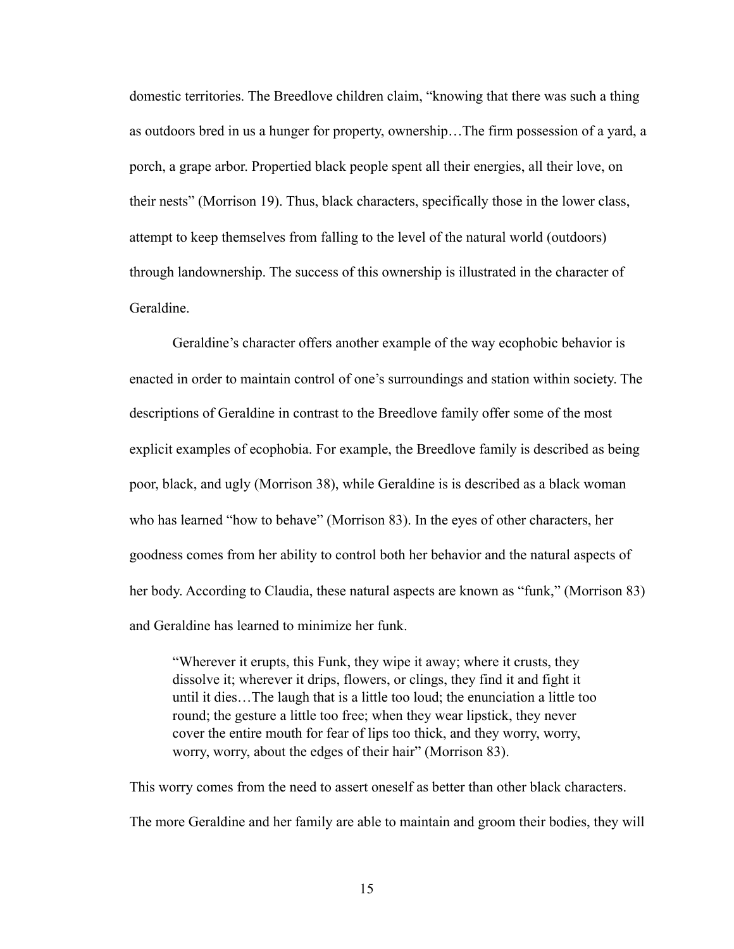domestic territories. The Breedlove children claim, "knowing that there was such a thing as outdoors bred in us a hunger for property, ownership…The firm possession of a yard, a porch, a grape arbor. Propertied black people spent all their energies, all their love, on their nests" (Morrison 19). Thus, black characters, specifically those in the lower class, attempt to keep themselves from falling to the level of the natural world (outdoors) through landownership. The success of this ownership is illustrated in the character of Geraldine.

 Geraldine's character offers another example of the way ecophobic behavior is enacted in order to maintain control of one's surroundings and station within society. The descriptions of Geraldine in contrast to the Breedlove family offer some of the most explicit examples of ecophobia. For example, the Breedlove family is described as being poor, black, and ugly (Morrison 38), while Geraldine is is described as a black woman who has learned "how to behave" (Morrison 83). In the eyes of other characters, her goodness comes from her ability to control both her behavior and the natural aspects of her body. According to Claudia, these natural aspects are known as "funk," (Morrison 83) and Geraldine has learned to minimize her funk.

"Wherever it erupts, this Funk, they wipe it away; where it crusts, they dissolve it; wherever it drips, flowers, or clings, they find it and fight it until it dies…The laugh that is a little too loud; the enunciation a little too round; the gesture a little too free; when they wear lipstick, they never cover the entire mouth for fear of lips too thick, and they worry, worry, worry, worry, about the edges of their hair" (Morrison 83).

This worry comes from the need to assert oneself as better than other black characters. The more Geraldine and her family are able to maintain and groom their bodies, they will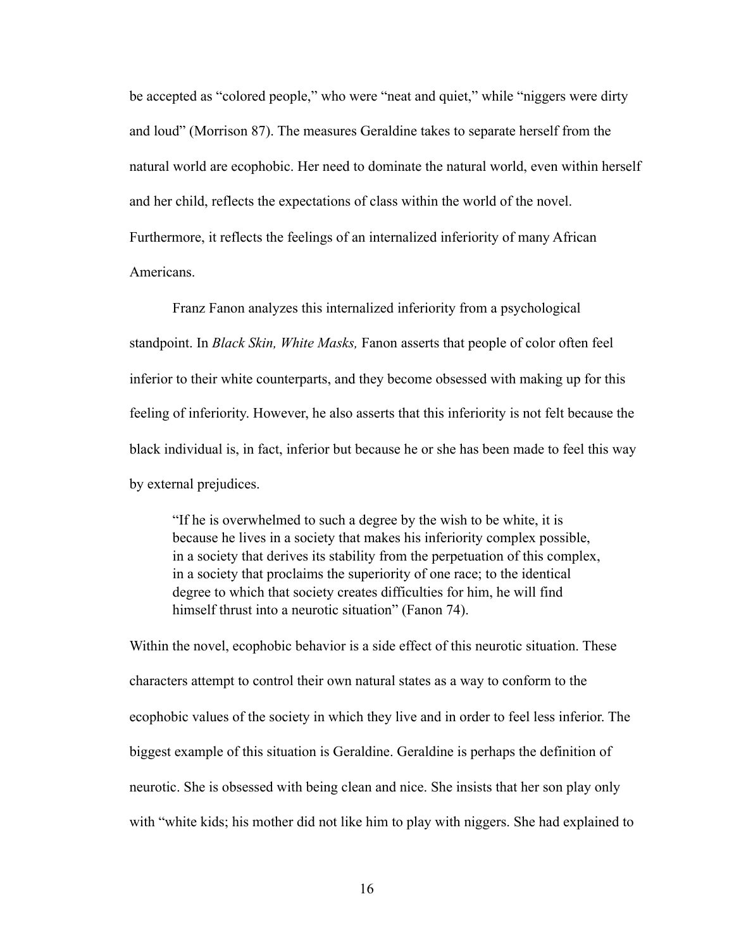be accepted as "colored people," who were "neat and quiet," while "niggers were dirty and loud" (Morrison 87). The measures Geraldine takes to separate herself from the natural world are ecophobic. Her need to dominate the natural world, even within herself and her child, reflects the expectations of class within the world of the novel. Furthermore, it reflects the feelings of an internalized inferiority of many African Americans.

 Franz Fanon analyzes this internalized inferiority from a psychological standpoint. In *Black Skin, White Masks,* Fanon asserts that people of color often feel inferior to their white counterparts, and they become obsessed with making up for this feeling of inferiority. However, he also asserts that this inferiority is not felt because the black individual is, in fact, inferior but because he or she has been made to feel this way by external prejudices.

"If he is overwhelmed to such a degree by the wish to be white, it is because he lives in a society that makes his inferiority complex possible, in a society that derives its stability from the perpetuation of this complex, in a society that proclaims the superiority of one race; to the identical degree to which that society creates difficulties for him, he will find himself thrust into a neurotic situation" (Fanon 74).

Within the novel, ecophobic behavior is a side effect of this neurotic situation. These characters attempt to control their own natural states as a way to conform to the ecophobic values of the society in which they live and in order to feel less inferior. The biggest example of this situation is Geraldine. Geraldine is perhaps the definition of neurotic. She is obsessed with being clean and nice. She insists that her son play only with "white kids; his mother did not like him to play with niggers. She had explained to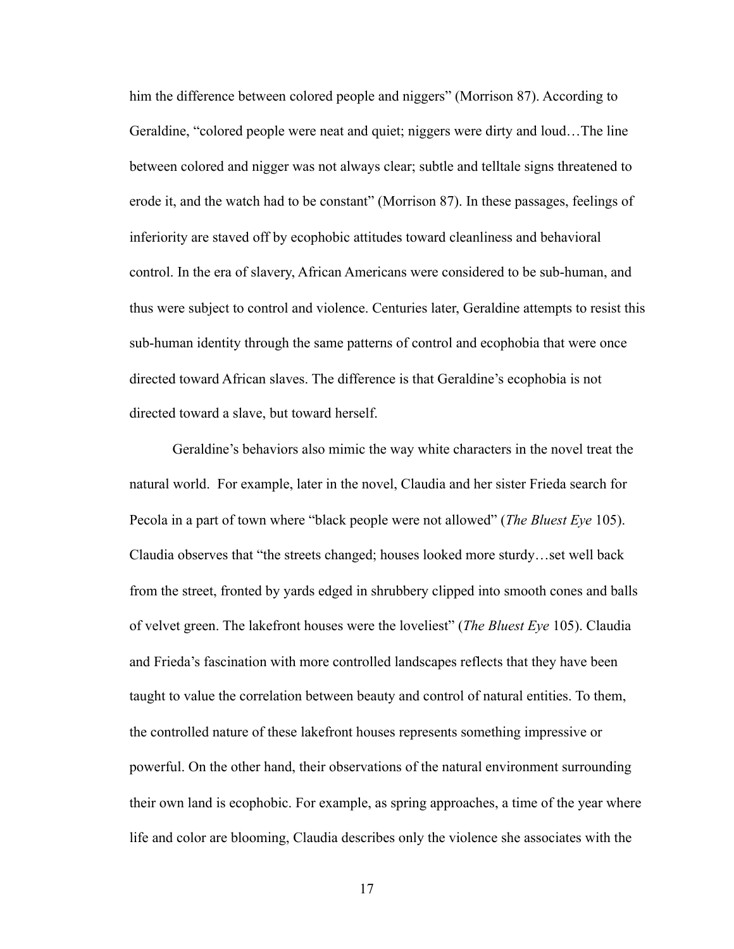him the difference between colored people and niggers" (Morrison 87). According to Geraldine, "colored people were neat and quiet; niggers were dirty and loud…The line between colored and nigger was not always clear; subtle and telltale signs threatened to erode it, and the watch had to be constant" (Morrison 87). In these passages, feelings of inferiority are staved off by ecophobic attitudes toward cleanliness and behavioral control. In the era of slavery, African Americans were considered to be sub-human, and thus were subject to control and violence. Centuries later, Geraldine attempts to resist this sub-human identity through the same patterns of control and ecophobia that were once directed toward African slaves. The difference is that Geraldine's ecophobia is not directed toward a slave, but toward herself.

 Geraldine's behaviors also mimic the way white characters in the novel treat the natural world. For example, later in the novel, Claudia and her sister Frieda search for Pecola in a part of town where "black people were not allowed" (*The Bluest Eye* 105). Claudia observes that "the streets changed; houses looked more sturdy…set well back from the street, fronted by yards edged in shrubbery clipped into smooth cones and balls of velvet green. The lakefront houses were the loveliest" (*The Bluest Eye* 105). Claudia and Frieda's fascination with more controlled landscapes reflects that they have been taught to value the correlation between beauty and control of natural entities. To them, the controlled nature of these lakefront houses represents something impressive or powerful. On the other hand, their observations of the natural environment surrounding their own land is ecophobic. For example, as spring approaches, a time of the year where life and color are blooming, Claudia describes only the violence she associates with the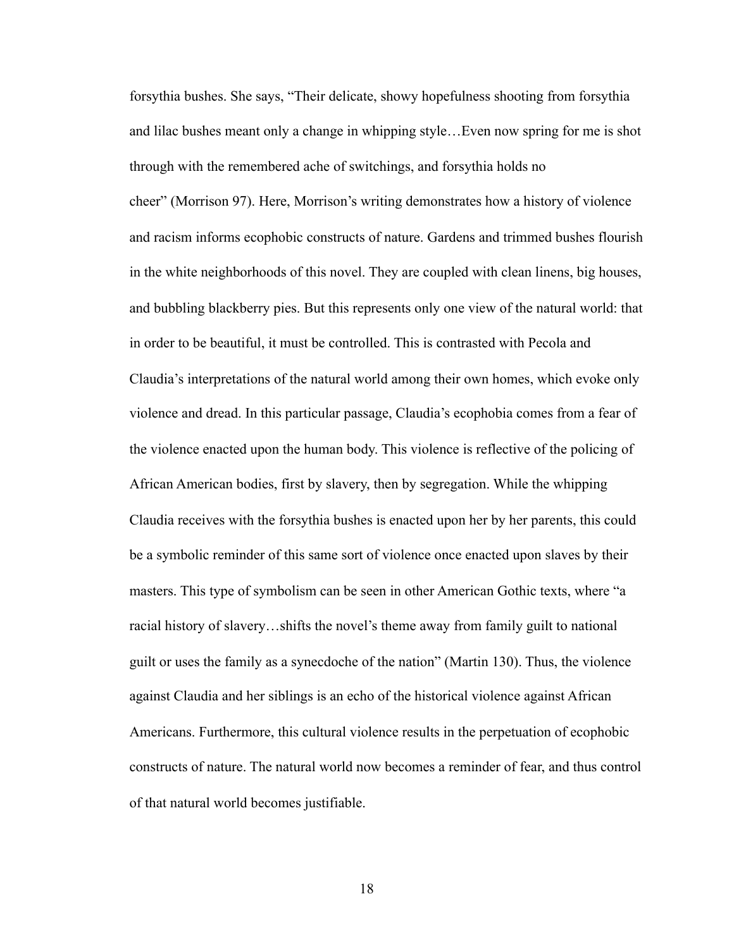forsythia bushes. She says, "Their delicate, showy hopefulness shooting from forsythia and lilac bushes meant only a change in whipping style…Even now spring for me is shot through with the remembered ache of switchings, and forsythia holds no cheer" (Morrison 97). Here, Morrison's writing demonstrates how a history of violence and racism informs ecophobic constructs of nature. Gardens and trimmed bushes flourish in the white neighborhoods of this novel. They are coupled with clean linens, big houses, and bubbling blackberry pies. But this represents only one view of the natural world: that in order to be beautiful, it must be controlled. This is contrasted with Pecola and Claudia's interpretations of the natural world among their own homes, which evoke only violence and dread. In this particular passage, Claudia's ecophobia comes from a fear of the violence enacted upon the human body. This violence is reflective of the policing of African American bodies, first by slavery, then by segregation. While the whipping Claudia receives with the forsythia bushes is enacted upon her by her parents, this could be a symbolic reminder of this same sort of violence once enacted upon slaves by their masters. This type of symbolism can be seen in other American Gothic texts, where "a racial history of slavery…shifts the novel's theme away from family guilt to national guilt or uses the family as a synecdoche of the nation" (Martin 130). Thus, the violence against Claudia and her siblings is an echo of the historical violence against African Americans. Furthermore, this cultural violence results in the perpetuation of ecophobic constructs of nature. The natural world now becomes a reminder of fear, and thus control of that natural world becomes justifiable.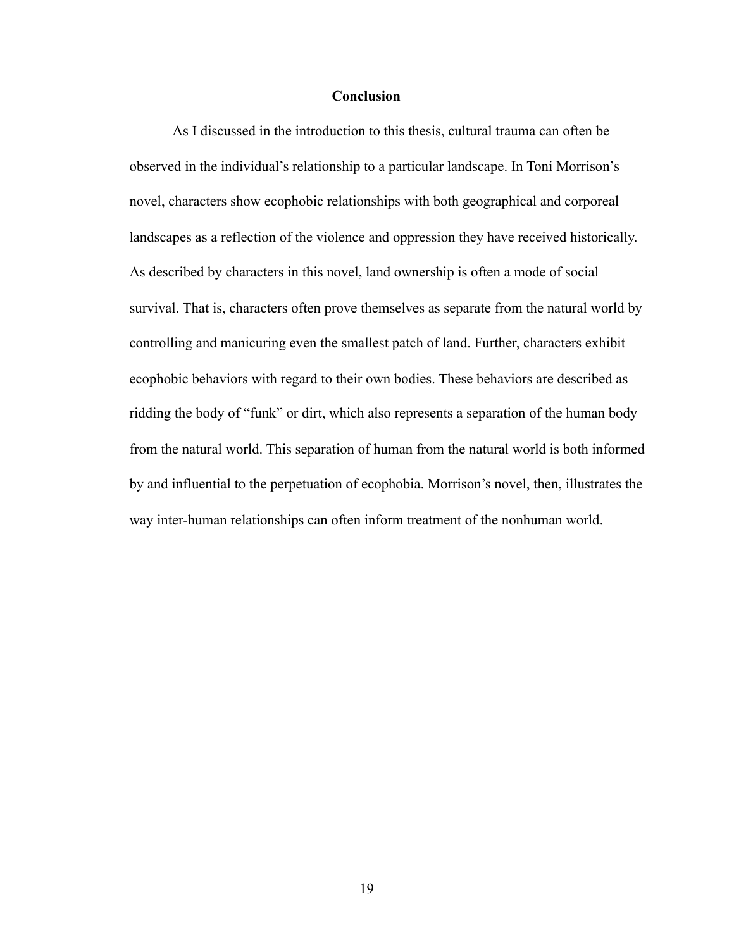# **Conclusion**

As I discussed in the introduction to this thesis, cultural trauma can often be observed in the individual's relationship to a particular landscape. In Toni Morrison's novel, characters show ecophobic relationships with both geographical and corporeal landscapes as a reflection of the violence and oppression they have received historically. As described by characters in this novel, land ownership is often a mode of social survival. That is, characters often prove themselves as separate from the natural world by controlling and manicuring even the smallest patch of land. Further, characters exhibit ecophobic behaviors with regard to their own bodies. These behaviors are described as ridding the body of "funk" or dirt, which also represents a separation of the human body from the natural world. This separation of human from the natural world is both informed by and influential to the perpetuation of ecophobia. Morrison's novel, then, illustrates the way inter-human relationships can often inform treatment of the nonhuman world.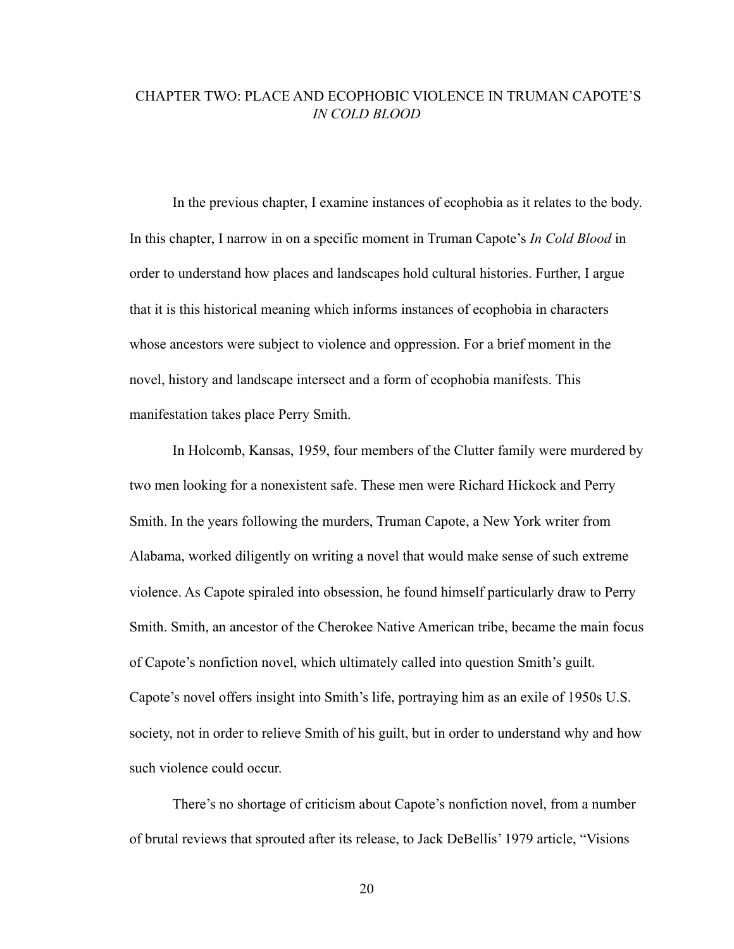# CHAPTER TWO: PLACE AND ECOPHOBIC VIOLENCE IN TRUMAN CAPOTE'S *IN COLD BLOOD*

In the previous chapter, I examine instances of ecophobia as it relates to the body. In this chapter, I narrow in on a specific moment in Truman Capote's *In Cold Blood* in order to understand how places and landscapes hold cultural histories. Further, I argue that it is this historical meaning which informs instances of ecophobia in characters whose ancestors were subject to violence and oppression. For a brief moment in the novel, history and landscape intersect and a form of ecophobia manifests. This manifestation takes place Perry Smith.

 In Holcomb, Kansas, 1959, four members of the Clutter family were murdered by two men looking for a nonexistent safe. These men were Richard Hickock and Perry Smith. In the years following the murders, Truman Capote, a New York writer from Alabama, worked diligently on writing a novel that would make sense of such extreme violence. As Capote spiraled into obsession, he found himself particularly draw to Perry Smith. Smith, an ancestor of the Cherokee Native American tribe, became the main focus of Capote's nonfiction novel, which ultimately called into question Smith's guilt. Capote's novel offers insight into Smith's life, portraying him as an exile of 1950s U.S. society, not in order to relieve Smith of his guilt, but in order to understand why and how such violence could occur.

 There's no shortage of criticism about Capote's nonfiction novel, from a number of brutal reviews that sprouted after its release, to Jack DeBellis' 1979 article, "Visions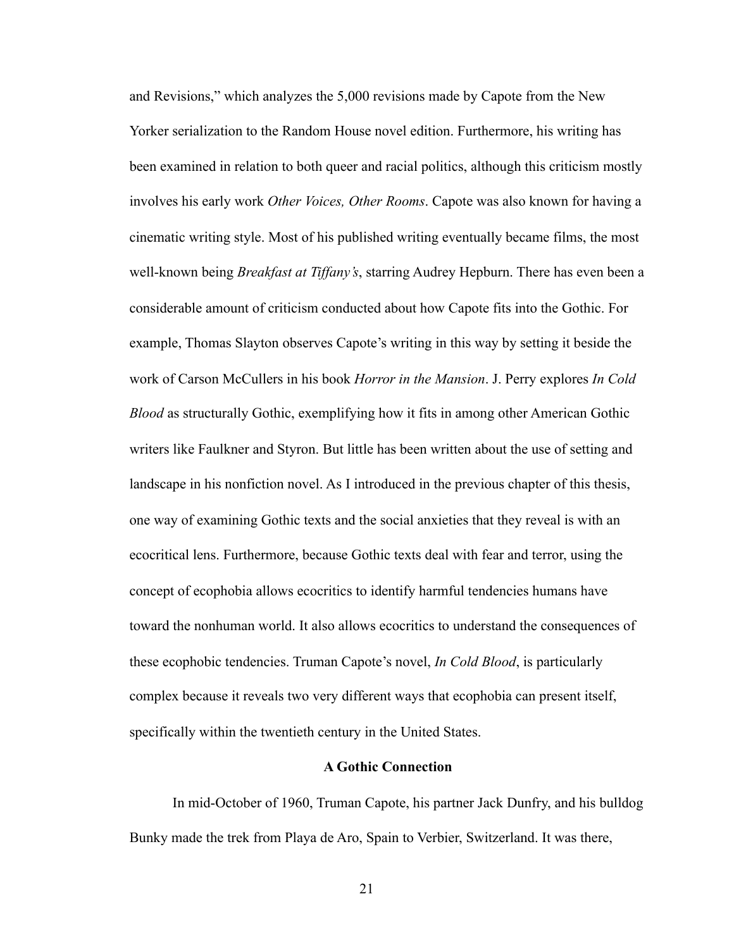and Revisions," which analyzes the 5,000 revisions made by Capote from the New Yorker serialization to the Random House novel edition. Furthermore, his writing has been examined in relation to both queer and racial politics, although this criticism mostly involves his early work *Other Voices, Other Rooms*. Capote was also known for having a cinematic writing style. Most of his published writing eventually became films, the most well-known being *Breakfast at Tiffany's*, starring Audrey Hepburn. There has even been a considerable amount of criticism conducted about how Capote fits into the Gothic. For example, Thomas Slayton observes Capote's writing in this way by setting it beside the work of Carson McCullers in his book *Horror in the Mansion*. J. Perry explores *In Cold Blood* as structurally Gothic, exemplifying how it fits in among other American Gothic writers like Faulkner and Styron. But little has been written about the use of setting and landscape in his nonfiction novel. As I introduced in the previous chapter of this thesis, one way of examining Gothic texts and the social anxieties that they reveal is with an ecocritical lens. Furthermore, because Gothic texts deal with fear and terror, using the concept of ecophobia allows ecocritics to identify harmful tendencies humans have toward the nonhuman world. It also allows ecocritics to understand the consequences of these ecophobic tendencies. Truman Capote's novel, *In Cold Blood*, is particularly complex because it reveals two very different ways that ecophobia can present itself, specifically within the twentieth century in the United States.

## **A Gothic Connection**

 In mid-October of 1960, Truman Capote, his partner Jack Dunfry, and his bulldog Bunky made the trek from Playa de Aro, Spain to Verbier, Switzerland. It was there,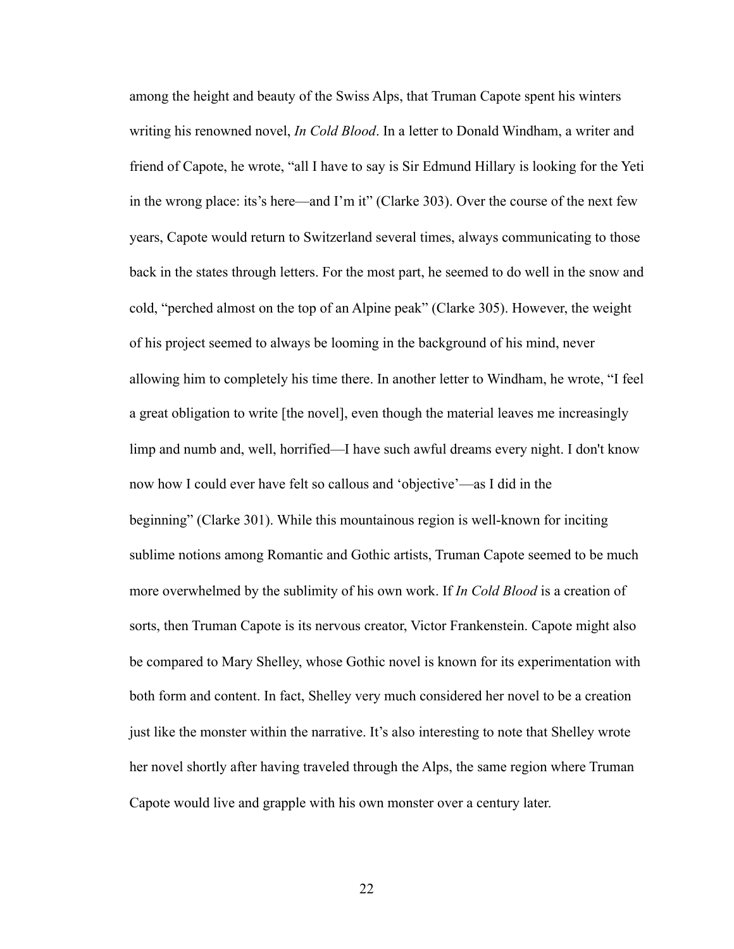among the height and beauty of the Swiss Alps, that Truman Capote spent his winters writing his renowned novel, *In Cold Blood*. In a letter to Donald Windham, a writer and friend of Capote, he wrote, "all I have to say is Sir Edmund Hillary is looking for the Yeti in the wrong place: its's here—and I'm it" (Clarke 303). Over the course of the next few years, Capote would return to Switzerland several times, always communicating to those back in the states through letters. For the most part, he seemed to do well in the snow and cold, "perched almost on the top of an Alpine peak" (Clarke 305). However, the weight of his project seemed to always be looming in the background of his mind, never allowing him to completely his time there. In another letter to Windham, he wrote, "I feel a great obligation to write [the novel], even though the material leaves me increasingly limp and numb and, well, horrified—I have such awful dreams every night. I don't know now how I could ever have felt so callous and 'objective'—as I did in the beginning" (Clarke 301). While this mountainous region is well-known for inciting sublime notions among Romantic and Gothic artists, Truman Capote seemed to be much more overwhelmed by the sublimity of his own work. If *In Cold Blood* is a creation of sorts, then Truman Capote is its nervous creator, Victor Frankenstein. Capote might also be compared to Mary Shelley, whose Gothic novel is known for its experimentation with both form and content. In fact, Shelley very much considered her novel to be a creation just like the monster within the narrative. It's also interesting to note that Shelley wrote her novel shortly after having traveled through the Alps, the same region where Truman Capote would live and grapple with his own monster over a century later.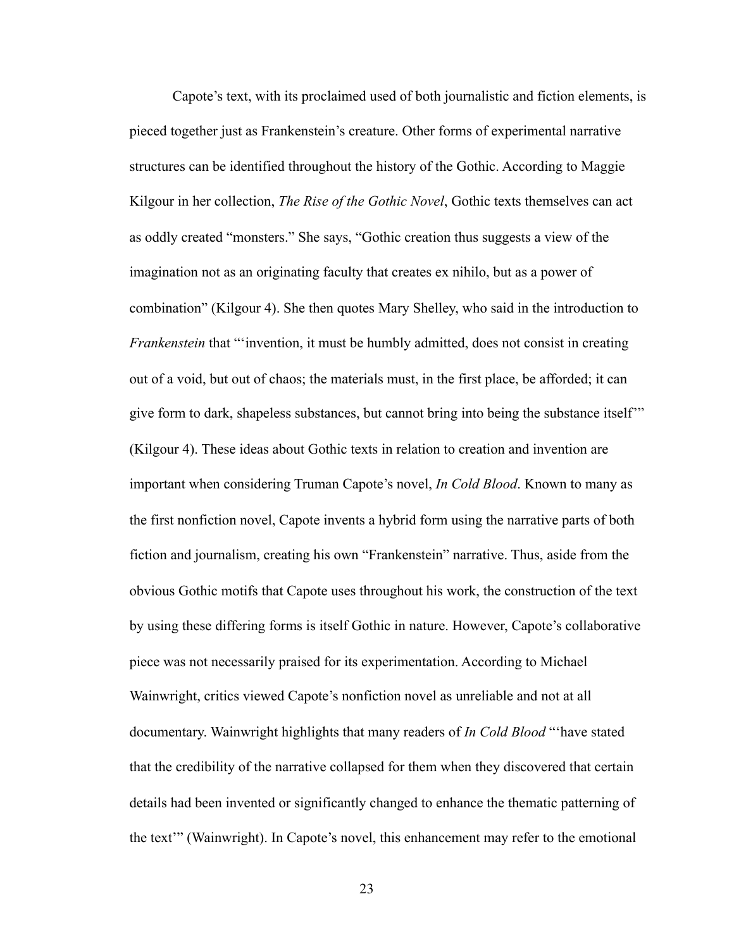Capote's text, with its proclaimed used of both journalistic and fiction elements, is pieced together just as Frankenstein's creature. Other forms of experimental narrative structures can be identified throughout the history of the Gothic. According to Maggie Kilgour in her collection, *The Rise of the Gothic Novel*, Gothic texts themselves can act as oddly created "monsters." She says, "Gothic creation thus suggests a view of the imagination not as an originating faculty that creates ex nihilo, but as a power of combination" (Kilgour 4). She then quotes Mary Shelley, who said in the introduction to *Frankenstein* that "'invention, it must be humbly admitted, does not consist in creating out of a void, but out of chaos; the materials must, in the first place, be afforded; it can give form to dark, shapeless substances, but cannot bring into being the substance itself'" (Kilgour 4). These ideas about Gothic texts in relation to creation and invention are important when considering Truman Capote's novel, *In Cold Blood*. Known to many as the first nonfiction novel, Capote invents a hybrid form using the narrative parts of both fiction and journalism, creating his own "Frankenstein" narrative. Thus, aside from the obvious Gothic motifs that Capote uses throughout his work, the construction of the text by using these differing forms is itself Gothic in nature. However, Capote's collaborative piece was not necessarily praised for its experimentation. According to Michael Wainwright, critics viewed Capote's nonfiction novel as unreliable and not at all documentary. Wainwright highlights that many readers of *In Cold Blood* "'have stated that the credibility of the narrative collapsed for them when they discovered that certain details had been invented or significantly changed to enhance the thematic patterning of the text'" (Wainwright). In Capote's novel, this enhancement may refer to the emotional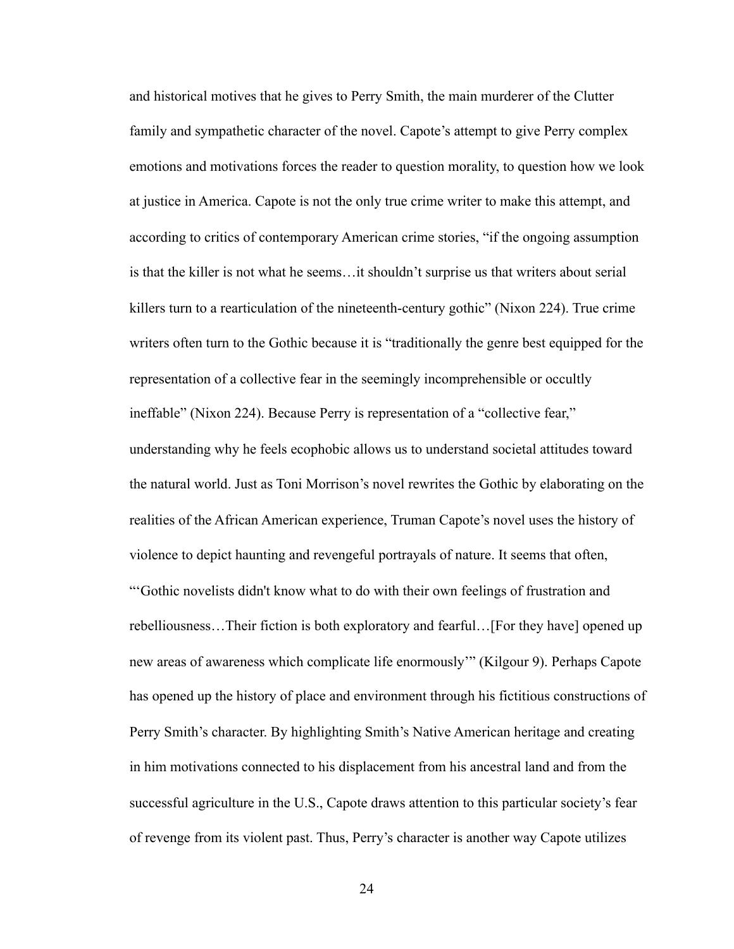and historical motives that he gives to Perry Smith, the main murderer of the Clutter family and sympathetic character of the novel. Capote's attempt to give Perry complex emotions and motivations forces the reader to question morality, to question how we look at justice in America. Capote is not the only true crime writer to make this attempt, and according to critics of contemporary American crime stories, "if the ongoing assumption is that the killer is not what he seems…it shouldn't surprise us that writers about serial killers turn to a rearticulation of the nineteenth-century gothic" (Nixon 224). True crime writers often turn to the Gothic because it is "traditionally the genre best equipped for the representation of a collective fear in the seemingly incomprehensible or occultly ineffable" (Nixon 224). Because Perry is representation of a "collective fear," understanding why he feels ecophobic allows us to understand societal attitudes toward the natural world. Just as Toni Morrison's novel rewrites the Gothic by elaborating on the realities of the African American experience, Truman Capote's novel uses the history of violence to depict haunting and revengeful portrayals of nature. It seems that often, "'Gothic novelists didn't know what to do with their own feelings of frustration and rebelliousness…Their fiction is both exploratory and fearful…[For they have] opened up new areas of awareness which complicate life enormously'" (Kilgour 9). Perhaps Capote has opened up the history of place and environment through his fictitious constructions of Perry Smith's character. By highlighting Smith's Native American heritage and creating in him motivations connected to his displacement from his ancestral land and from the successful agriculture in the U.S., Capote draws attention to this particular society's fear of revenge from its violent past. Thus, Perry's character is another way Capote utilizes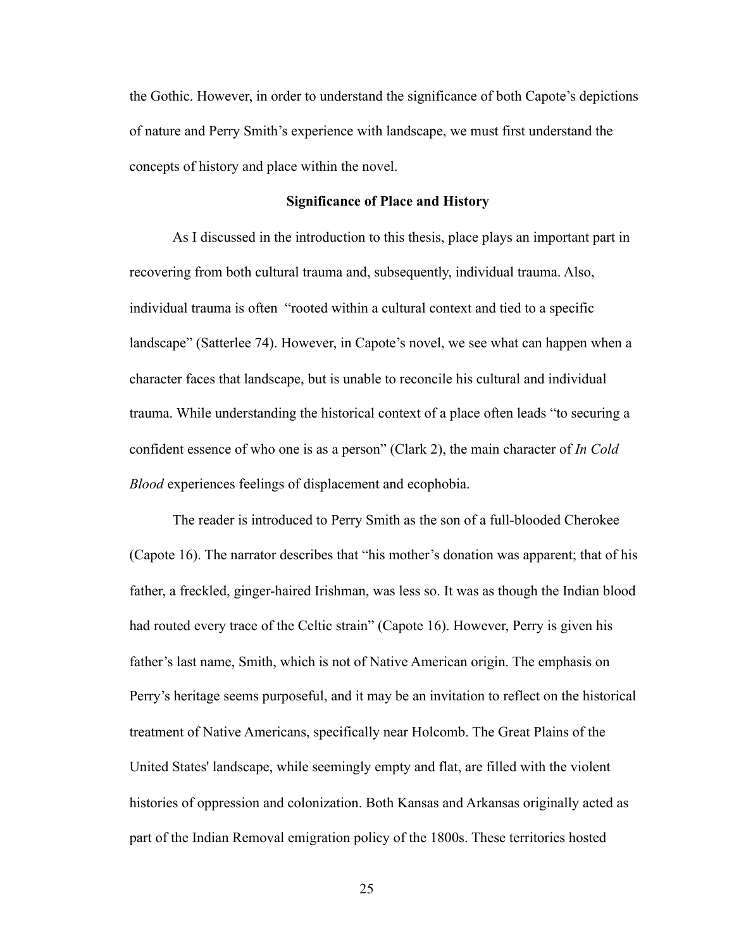the Gothic. However, in order to understand the significance of both Capote's depictions of nature and Perry Smith's experience with landscape, we must first understand the concepts of history and place within the novel.

## **Significance of Place and History**

 As I discussed in the introduction to this thesis, place plays an important part in recovering from both cultural trauma and, subsequently, individual trauma. Also, individual trauma is often "rooted within a cultural context and tied to a specific landscape" (Satterlee 74). However, in Capote's novel, we see what can happen when a character faces that landscape, but is unable to reconcile his cultural and individual trauma. While understanding the historical context of a place often leads "to securing a confident essence of who one is as a person" (Clark 2), the main character of *In Cold Blood* experiences feelings of displacement and ecophobia.

 The reader is introduced to Perry Smith as the son of a full-blooded Cherokee (Capote 16). The narrator describes that "his mother's donation was apparent; that of his father, a freckled, ginger-haired Irishman, was less so. It was as though the Indian blood had routed every trace of the Celtic strain" (Capote 16). However, Perry is given his father's last name, Smith, which is not of Native American origin. The emphasis on Perry's heritage seems purposeful, and it may be an invitation to reflect on the historical treatment of Native Americans, specifically near Holcomb. The Great Plains of the United States' landscape, while seemingly empty and flat, are filled with the violent histories of oppression and colonization. Both Kansas and Arkansas originally acted as part of the Indian Removal emigration policy of the 1800s. These territories hosted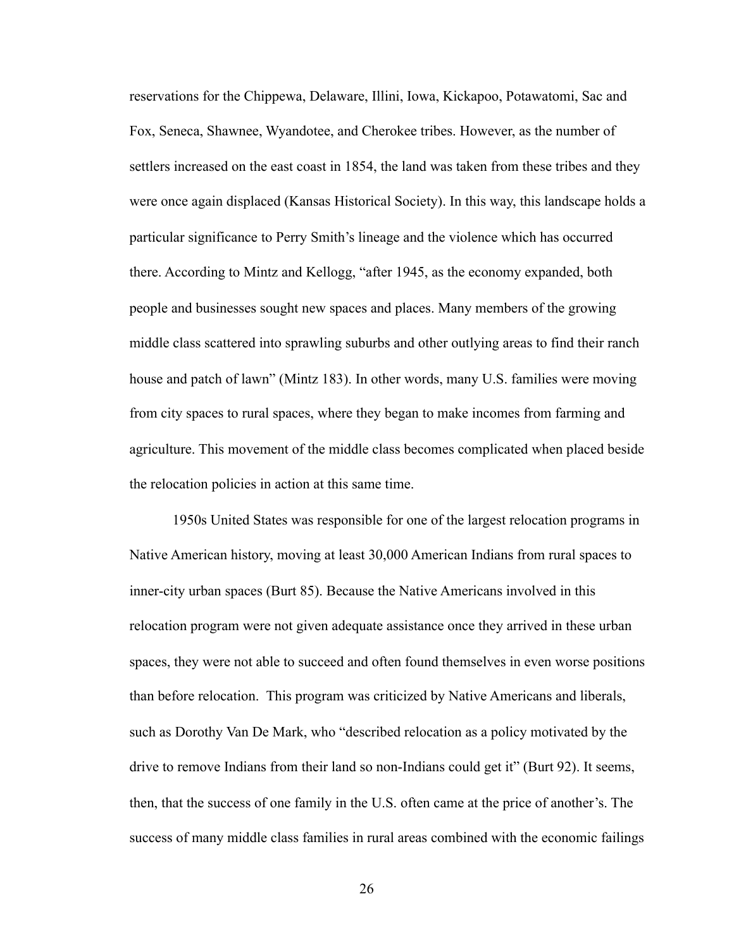reservations for the Chippewa, Delaware, Illini, Iowa, Kickapoo, Potawatomi, Sac and Fox, Seneca, Shawnee, Wyandotee, and Cherokee tribes. However, as the number of settlers increased on the east coast in 1854, the land was taken from these tribes and they were once again displaced (Kansas Historical Society). In this way, this landscape holds a particular significance to Perry Smith's lineage and the violence which has occurred there. According to Mintz and Kellogg, "after 1945, as the economy expanded, both people and businesses sought new spaces and places. Many members of the growing middle class scattered into sprawling suburbs and other outlying areas to find their ranch house and patch of lawn" (Mintz 183). In other words, many U.S. families were moving from city spaces to rural spaces, where they began to make incomes from farming and agriculture. This movement of the middle class becomes complicated when placed beside the relocation policies in action at this same time.

 1950s United States was responsible for one of the largest relocation programs in Native American history, moving at least 30,000 American Indians from rural spaces to inner-city urban spaces (Burt 85). Because the Native Americans involved in this relocation program were not given adequate assistance once they arrived in these urban spaces, they were not able to succeed and often found themselves in even worse positions than before relocation. This program was criticized by Native Americans and liberals, such as Dorothy Van De Mark, who "described relocation as a policy motivated by the drive to remove Indians from their land so non-Indians could get it" (Burt 92). It seems, then, that the success of one family in the U.S. often came at the price of another's. The success of many middle class families in rural areas combined with the economic failings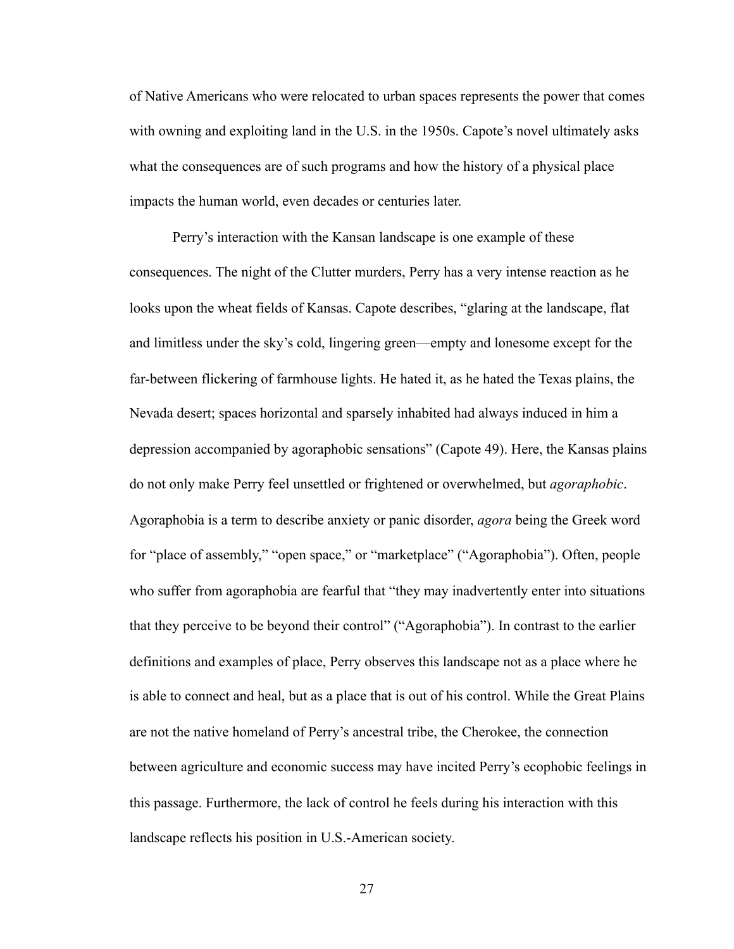of Native Americans who were relocated to urban spaces represents the power that comes with owning and exploiting land in the U.S. in the 1950s. Capote's novel ultimately asks what the consequences are of such programs and how the history of a physical place impacts the human world, even decades or centuries later.

 Perry's interaction with the Kansan landscape is one example of these consequences. The night of the Clutter murders, Perry has a very intense reaction as he looks upon the wheat fields of Kansas. Capote describes, "glaring at the landscape, flat and limitless under the sky's cold, lingering green—empty and lonesome except for the far-between flickering of farmhouse lights. He hated it, as he hated the Texas plains, the Nevada desert; spaces horizontal and sparsely inhabited had always induced in him a depression accompanied by agoraphobic sensations" (Capote 49). Here, the Kansas plains do not only make Perry feel unsettled or frightened or overwhelmed, but *agoraphobic*. Agoraphobia is a term to describe anxiety or panic disorder, *agora* being the Greek word for "place of assembly," "open space," or "marketplace" ("Agoraphobia"). Often, people who suffer from agoraphobia are fearful that "they may inadvertently enter into situations that they perceive to be beyond their control" ("Agoraphobia"). In contrast to the earlier definitions and examples of place, Perry observes this landscape not as a place where he is able to connect and heal, but as a place that is out of his control. While the Great Plains are not the native homeland of Perry's ancestral tribe, the Cherokee, the connection between agriculture and economic success may have incited Perry's ecophobic feelings in this passage. Furthermore, the lack of control he feels during his interaction with this landscape reflects his position in U.S.-American society.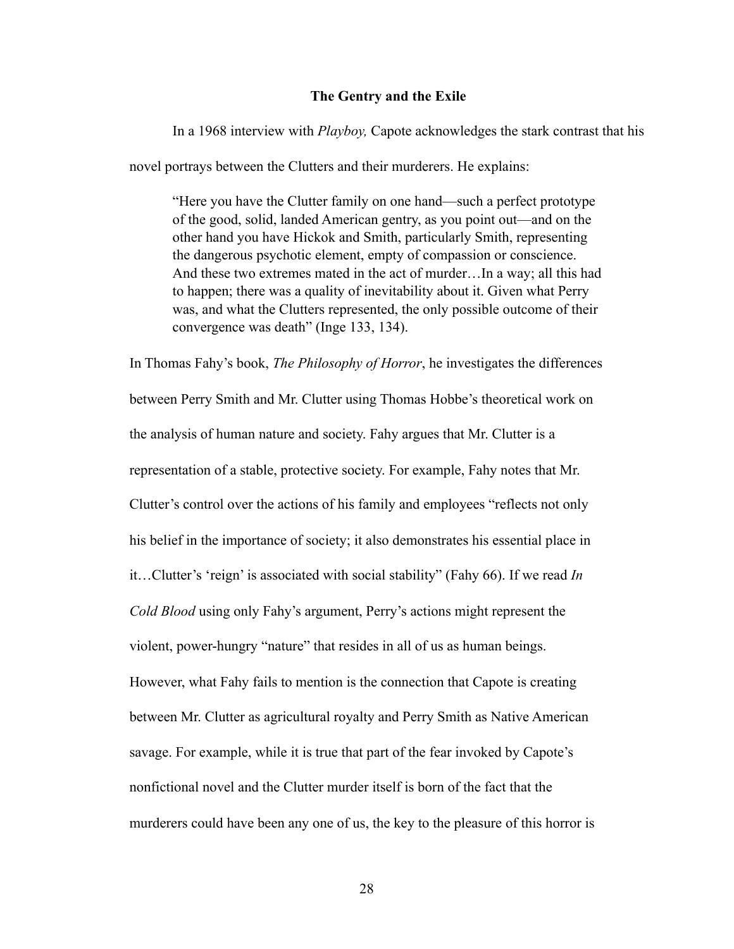## **The Gentry and the Exile**

 In a 1968 interview with *Playboy,* Capote acknowledges the stark contrast that his novel portrays between the Clutters and their murderers. He explains:

"Here you have the Clutter family on one hand—such a perfect prototype of the good, solid, landed American gentry, as you point out—and on the other hand you have Hickok and Smith, particularly Smith, representing the dangerous psychotic element, empty of compassion or conscience. And these two extremes mated in the act of murder…In a way; all this had to happen; there was a quality of inevitability about it. Given what Perry was, and what the Clutters represented, the only possible outcome of their convergence was death" (Inge 133, 134).

In Thomas Fahy's book, *The Philosophy of Horror*, he investigates the differences between Perry Smith and Mr. Clutter using Thomas Hobbe's theoretical work on the analysis of human nature and society. Fahy argues that Mr. Clutter is a representation of a stable, protective society. For example, Fahy notes that Mr. Clutter's control over the actions of his family and employees "reflects not only his belief in the importance of society; it also demonstrates his essential place in it…Clutter's 'reign' is associated with social stability" (Fahy 66). If we read *In Cold Blood* using only Fahy's argument, Perry's actions might represent the violent, power-hungry "nature" that resides in all of us as human beings. However, what Fahy fails to mention is the connection that Capote is creating between Mr. Clutter as agricultural royalty and Perry Smith as Native American savage. For example, while it is true that part of the fear invoked by Capote's nonfictional novel and the Clutter murder itself is born of the fact that the murderers could have been any one of us, the key to the pleasure of this horror is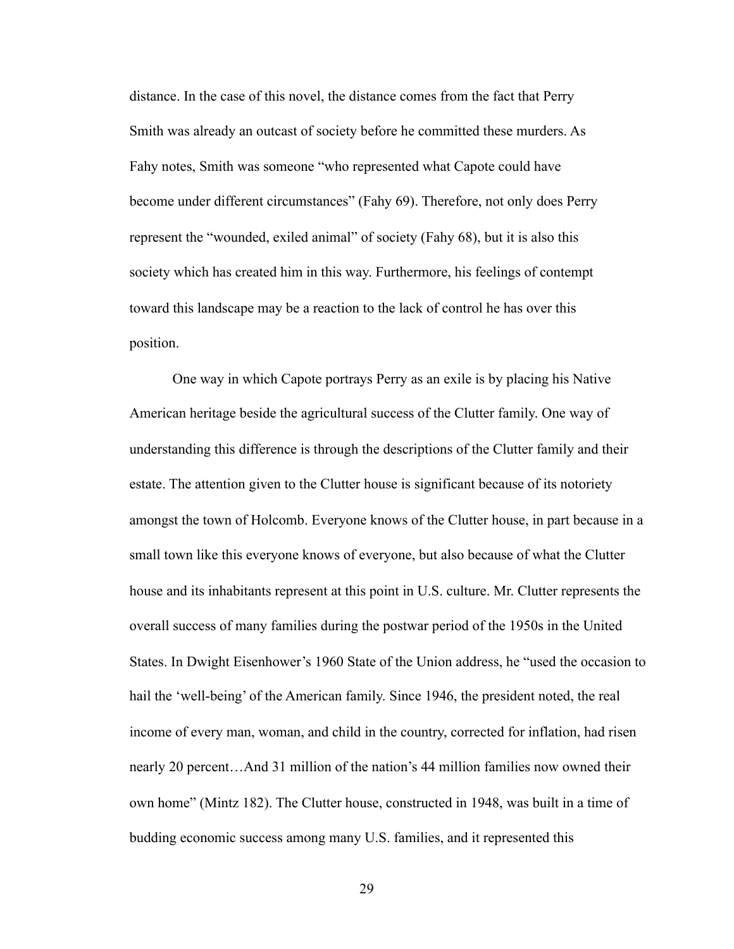distance. In the case of this novel, the distance comes from the fact that Perry Smith was already an outcast of society before he committed these murders. As Fahy notes, Smith was someone "who represented what Capote could have become under different circumstances" (Fahy 69). Therefore, not only does Perry represent the "wounded, exiled animal" of society (Fahy 68), but it is also this society which has created him in this way. Furthermore, his feelings of contempt toward this landscape may be a reaction to the lack of control he has over this position.

 One way in which Capote portrays Perry as an exile is by placing his Native American heritage beside the agricultural success of the Clutter family. One way of understanding this difference is through the descriptions of the Clutter family and their estate. The attention given to the Clutter house is significant because of its notoriety amongst the town of Holcomb. Everyone knows of the Clutter house, in part because in a small town like this everyone knows of everyone, but also because of what the Clutter house and its inhabitants represent at this point in U.S. culture. Mr. Clutter represents the overall success of many families during the postwar period of the 1950s in the United States. In Dwight Eisenhower's 1960 State of the Union address, he "used the occasion to hail the 'well-being' of the American family. Since 1946, the president noted, the real income of every man, woman, and child in the country, corrected for inflation, had risen nearly 20 percent…And 31 million of the nation's 44 million families now owned their own home" (Mintz 182). The Clutter house, constructed in 1948, was built in a time of budding economic success among many U.S. families, and it represented this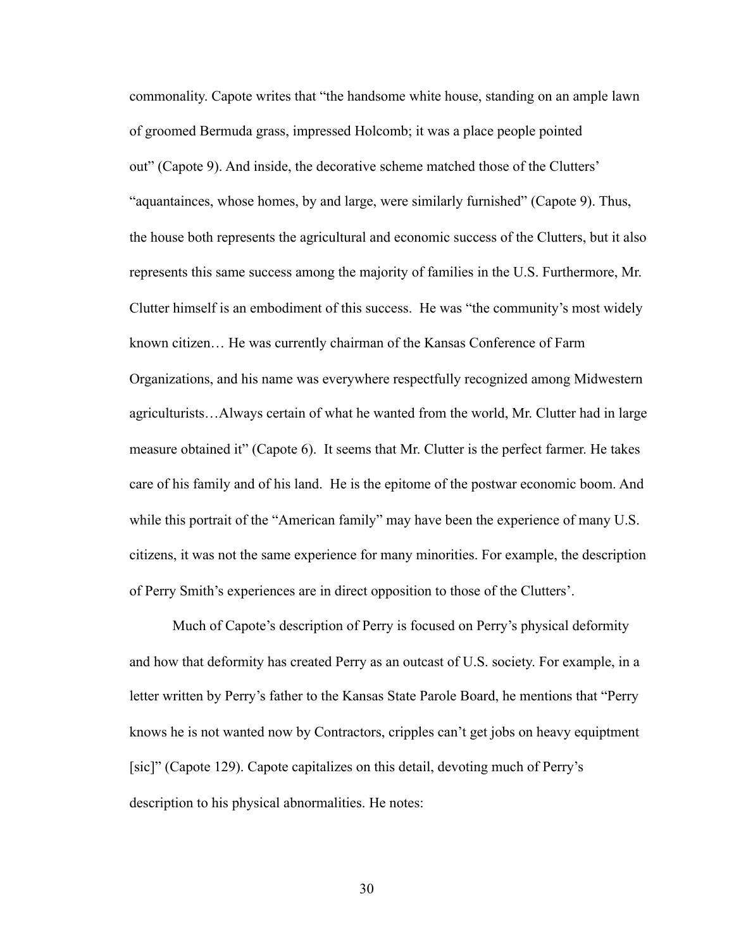commonality. Capote writes that "the handsome white house, standing on an ample lawn of groomed Bermuda grass, impressed Holcomb; it was a place people pointed out" (Capote 9). And inside, the decorative scheme matched those of the Clutters' "aquantainces, whose homes, by and large, were similarly furnished" (Capote 9). Thus, the house both represents the agricultural and economic success of the Clutters, but it also represents this same success among the majority of families in the U.S. Furthermore, Mr. Clutter himself is an embodiment of this success. He was "the community's most widely known citizen… He was currently chairman of the Kansas Conference of Farm Organizations, and his name was everywhere respectfully recognized among Midwestern agriculturists…Always certain of what he wanted from the world, Mr. Clutter had in large measure obtained it" (Capote 6). It seems that Mr. Clutter is the perfect farmer. He takes care of his family and of his land. He is the epitome of the postwar economic boom. And while this portrait of the "American family" may have been the experience of many U.S. citizens, it was not the same experience for many minorities. For example, the description of Perry Smith's experiences are in direct opposition to those of the Clutters'.

 Much of Capote's description of Perry is focused on Perry's physical deformity and how that deformity has created Perry as an outcast of U.S. society. For example, in a letter written by Perry's father to the Kansas State Parole Board, he mentions that "Perry knows he is not wanted now by Contractors, cripples can't get jobs on heavy equiptment [sic]" (Capote 129). Capote capitalizes on this detail, devoting much of Perry's description to his physical abnormalities. He notes: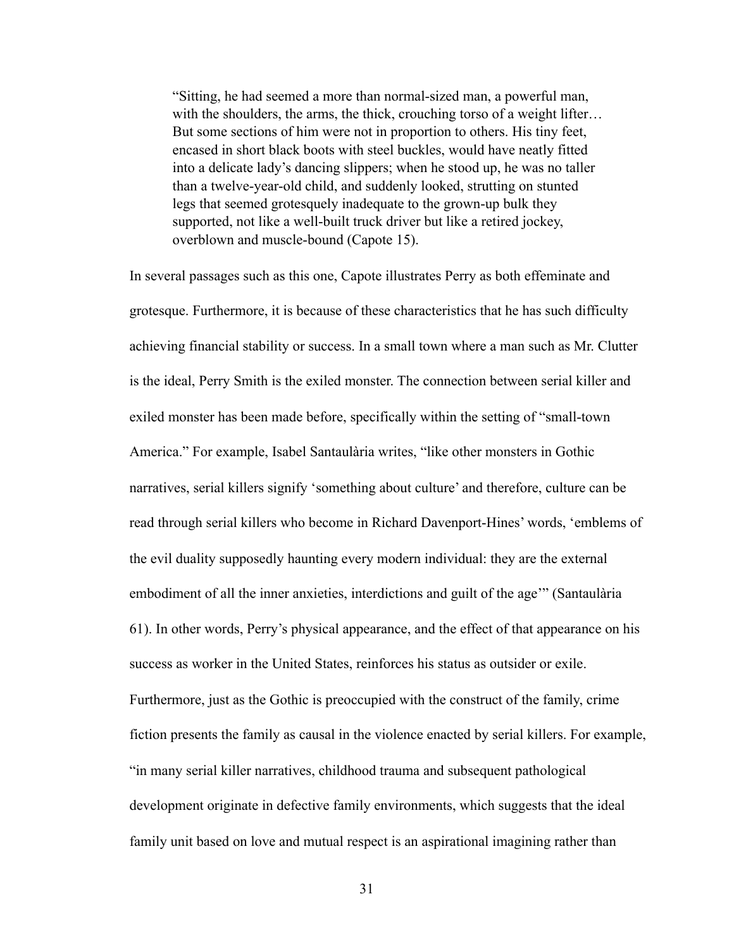"Sitting, he had seemed a more than normal-sized man, a powerful man, with the shoulders, the arms, the thick, crouching torso of a weight lifter... But some sections of him were not in proportion to others. His tiny feet, encased in short black boots with steel buckles, would have neatly fitted into a delicate lady's dancing slippers; when he stood up, he was no taller than a twelve-year-old child, and suddenly looked, strutting on stunted legs that seemed grotesquely inadequate to the grown-up bulk they supported, not like a well-built truck driver but like a retired jockey, overblown and muscle-bound (Capote 15).

In several passages such as this one, Capote illustrates Perry as both effeminate and grotesque. Furthermore, it is because of these characteristics that he has such difficulty achieving financial stability or success. In a small town where a man such as Mr. Clutter is the ideal, Perry Smith is the exiled monster. The connection between serial killer and exiled monster has been made before, specifically within the setting of "small-town America." For example, Isabel Santaulària writes, "like other monsters in Gothic narratives, serial killers signify 'something about culture' and therefore, culture can be read through serial killers who become in Richard Davenport-Hines' words, 'emblems of the evil duality supposedly haunting every modern individual: they are the external embodiment of all the inner anxieties, interdictions and guilt of the age'" (Santaulària 61). In other words, Perry's physical appearance, and the effect of that appearance on his success as worker in the United States, reinforces his status as outsider or exile. Furthermore, just as the Gothic is preoccupied with the construct of the family, crime fiction presents the family as causal in the violence enacted by serial killers. For example, "in many serial killer narratives, childhood trauma and subsequent pathological development originate in defective family environments, which suggests that the ideal family unit based on love and mutual respect is an aspirational imagining rather than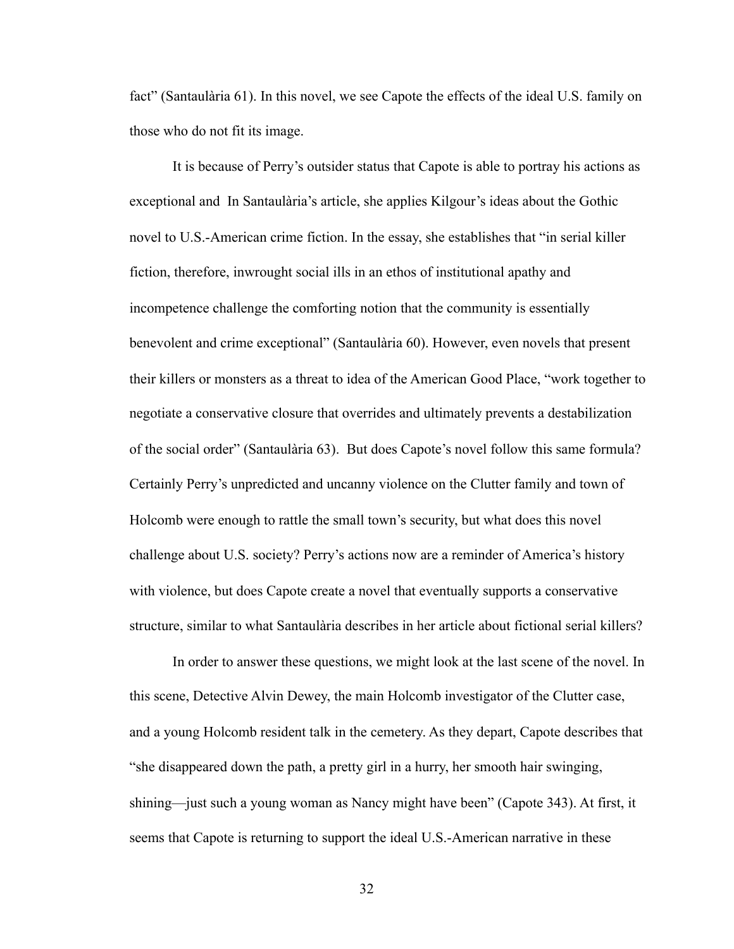fact" (Santaulària 61). In this novel, we see Capote the effects of the ideal U.S. family on those who do not fit its image.

 It is because of Perry's outsider status that Capote is able to portray his actions as exceptional and In Santaulària's article, she applies Kilgour's ideas about the Gothic novel to U.S.-American crime fiction. In the essay, she establishes that "in serial killer fiction, therefore, inwrought social ills in an ethos of institutional apathy and incompetence challenge the comforting notion that the community is essentially benevolent and crime exceptional" (Santaulària 60). However, even novels that present their killers or monsters as a threat to idea of the American Good Place, "work together to negotiate a conservative closure that overrides and ultimately prevents a destabilization of the social order" (Santaulària 63). But does Capote's novel follow this same formula? Certainly Perry's unpredicted and uncanny violence on the Clutter family and town of Holcomb were enough to rattle the small town's security, but what does this novel challenge about U.S. society? Perry's actions now are a reminder of America's history with violence, but does Capote create a novel that eventually supports a conservative structure, similar to what Santaulària describes in her article about fictional serial killers?

 In order to answer these questions, we might look at the last scene of the novel. In this scene, Detective Alvin Dewey, the main Holcomb investigator of the Clutter case, and a young Holcomb resident talk in the cemetery. As they depart, Capote describes that "she disappeared down the path, a pretty girl in a hurry, her smooth hair swinging, shining—just such a young woman as Nancy might have been" (Capote 343). At first, it seems that Capote is returning to support the ideal U.S.-American narrative in these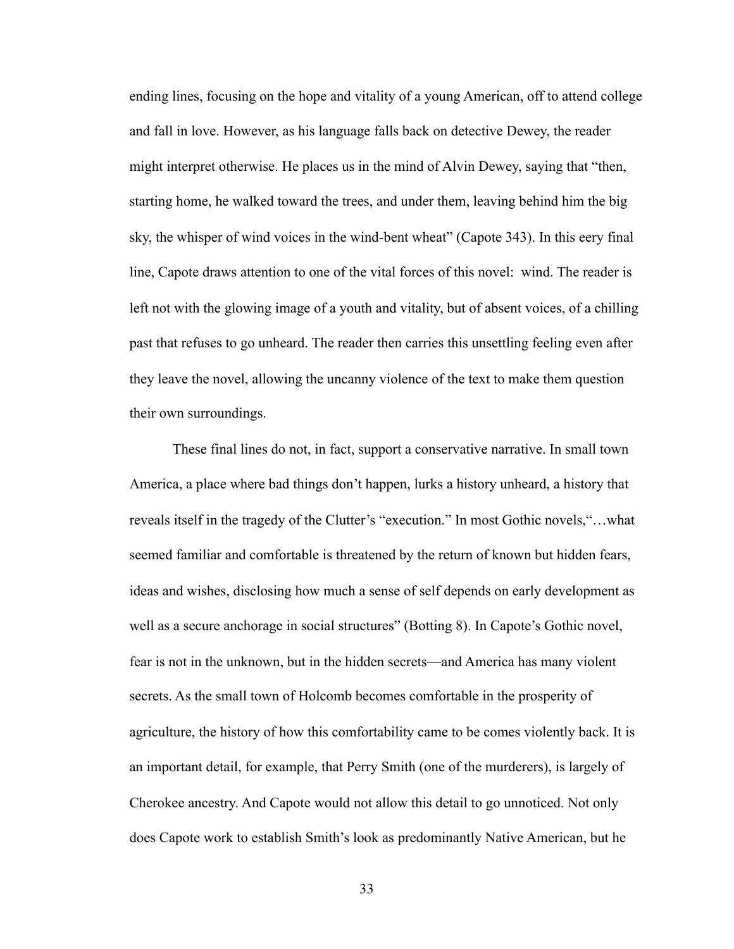ending lines, focusing on the hope and vitality of a young American, off to attend college and fall in love. However, as his language falls back on detective Dewey, the reader might interpret otherwise. He places us in the mind of Alvin Dewey, saying that "then, starting home, he walked toward the trees, and under them, leaving behind him the big sky, the whisper of wind voices in the wind-bent wheat" (Capote 343). In this eery final line, Capote draws attention to one of the vital forces of this novel: wind. The reader is left not with the glowing image of a youth and vitality, but of absent voices, of a chilling past that refuses to go unheard. The reader then carries this unsettling feeling even after they leave the novel, allowing the uncanny violence of the text to make them question their own surroundings.

 These final lines do not, in fact, support a conservative narrative. In small town America, a place where bad things don't happen, lurks a history unheard, a history that reveals itself in the tragedy of the Clutter's "execution." In most Gothic novels,"…what seemed familiar and comfortable is threatened by the return of known but hidden fears, ideas and wishes, disclosing how much a sense of self depends on early development as well as a secure anchorage in social structures" (Botting 8). In Capote's Gothic novel, fear is not in the unknown, but in the hidden secrets—and America has many violent secrets. As the small town of Holcomb becomes comfortable in the prosperity of agriculture, the history of how this comfortability came to be comes violently back. It is an important detail, for example, that Perry Smith (one of the murderers), is largely of Cherokee ancestry. And Capote would not allow this detail to go unnoticed. Not only does Capote work to establish Smith's look as predominantly Native American, but he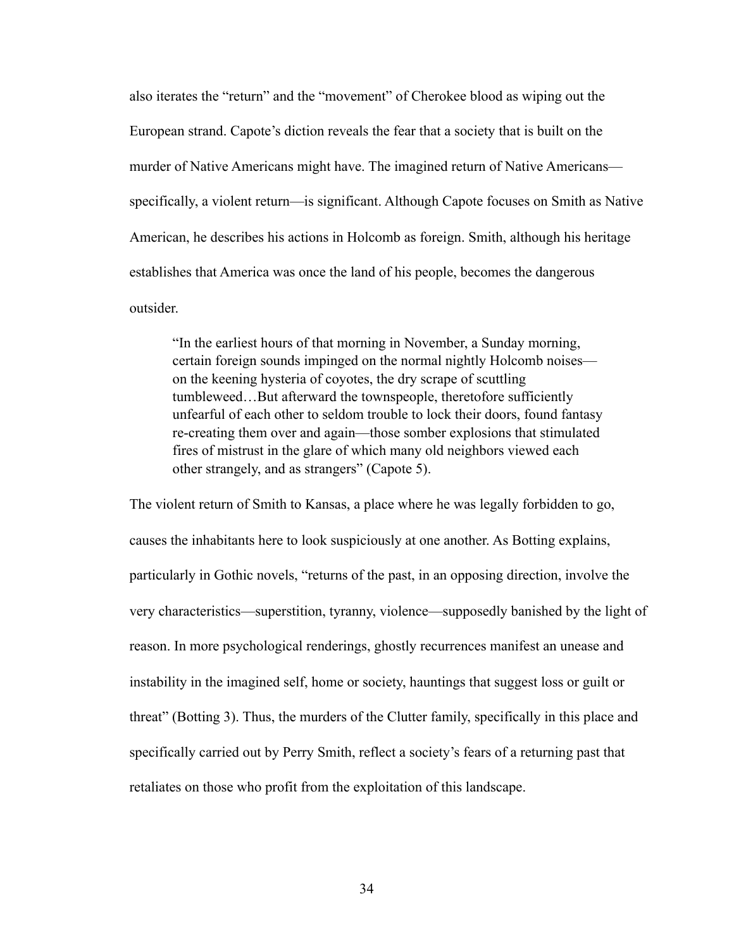also iterates the "return" and the "movement" of Cherokee blood as wiping out the European strand. Capote's diction reveals the fear that a society that is built on the murder of Native Americans might have. The imagined return of Native Americans specifically, a violent return—is significant. Although Capote focuses on Smith as Native American, he describes his actions in Holcomb as foreign. Smith, although his heritage establishes that America was once the land of his people, becomes the dangerous outsider.

"In the earliest hours of that morning in November, a Sunday morning, certain foreign sounds impinged on the normal nightly Holcomb noises on the keening hysteria of coyotes, the dry scrape of scuttling tumbleweed…But afterward the townspeople, theretofore sufficiently unfearful of each other to seldom trouble to lock their doors, found fantasy re-creating them over and again—those somber explosions that stimulated fires of mistrust in the glare of which many old neighbors viewed each other strangely, and as strangers" (Capote 5).

The violent return of Smith to Kansas, a place where he was legally forbidden to go, causes the inhabitants here to look suspiciously at one another. As Botting explains, particularly in Gothic novels, "returns of the past, in an opposing direction, involve the very characteristics—superstition, tyranny, violence—supposedly banished by the light of reason. In more psychological renderings, ghostly recurrences manifest an unease and instability in the imagined self, home or society, hauntings that suggest loss or guilt or threat" (Botting 3). Thus, the murders of the Clutter family, specifically in this place and specifically carried out by Perry Smith, reflect a society's fears of a returning past that retaliates on those who profit from the exploitation of this landscape.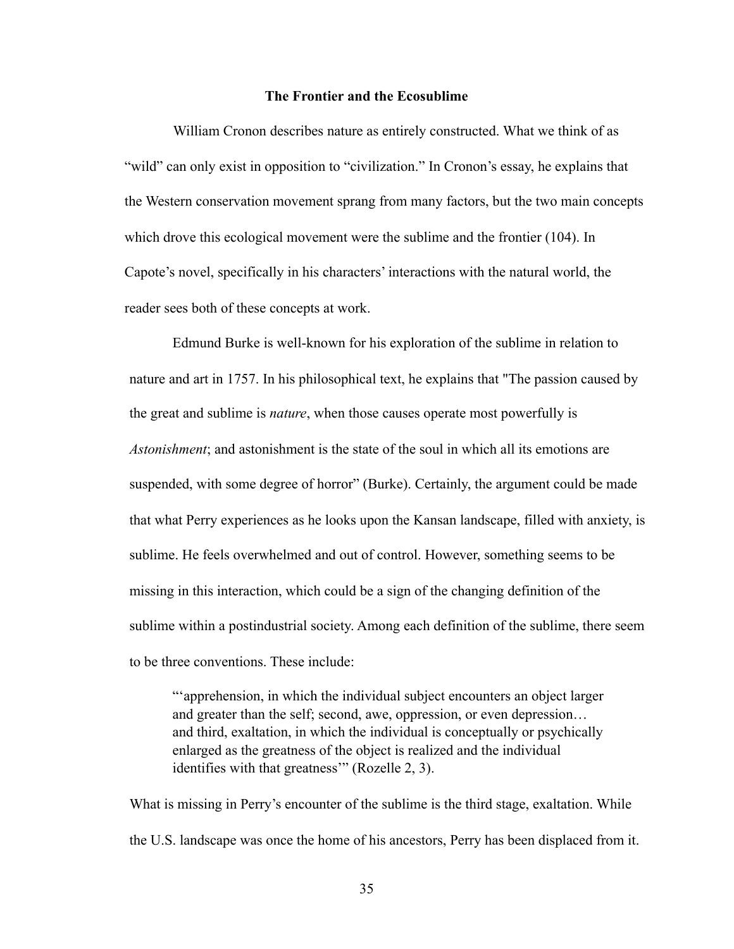## **The Frontier and the Ecosublime**

 William Cronon describes nature as entirely constructed. What we think of as "wild" can only exist in opposition to "civilization." In Cronon's essay, he explains that the Western conservation movement sprang from many factors, but the two main concepts which drove this ecological movement were the sublime and the frontier (104). In Capote's novel, specifically in his characters' interactions with the natural world, the reader sees both of these concepts at work.

 Edmund Burke is well-known for his exploration of the sublime in relation to nature and art in 1757. In his philosophical text, he explains that "The passion caused by the great and sublime is *nature*, when those causes operate most powerfully is *Astonishment*; and astonishment is the state of the soul in which all its emotions are suspended, with some degree of horror" (Burke). Certainly, the argument could be made that what Perry experiences as he looks upon the Kansan landscape, filled with anxiety, is sublime. He feels overwhelmed and out of control. However, something seems to be missing in this interaction, which could be a sign of the changing definition of the sublime within a postindustrial society. Among each definition of the sublime, there seem to be three conventions. These include:

"'apprehension, in which the individual subject encounters an object larger and greater than the self; second, awe, oppression, or even depression… and third, exaltation, in which the individual is conceptually or psychically enlarged as the greatness of the object is realized and the individual identifies with that greatness'" (Rozelle 2, 3).

What is missing in Perry's encounter of the sublime is the third stage, exaltation. While the U.S. landscape was once the home of his ancestors, Perry has been displaced from it.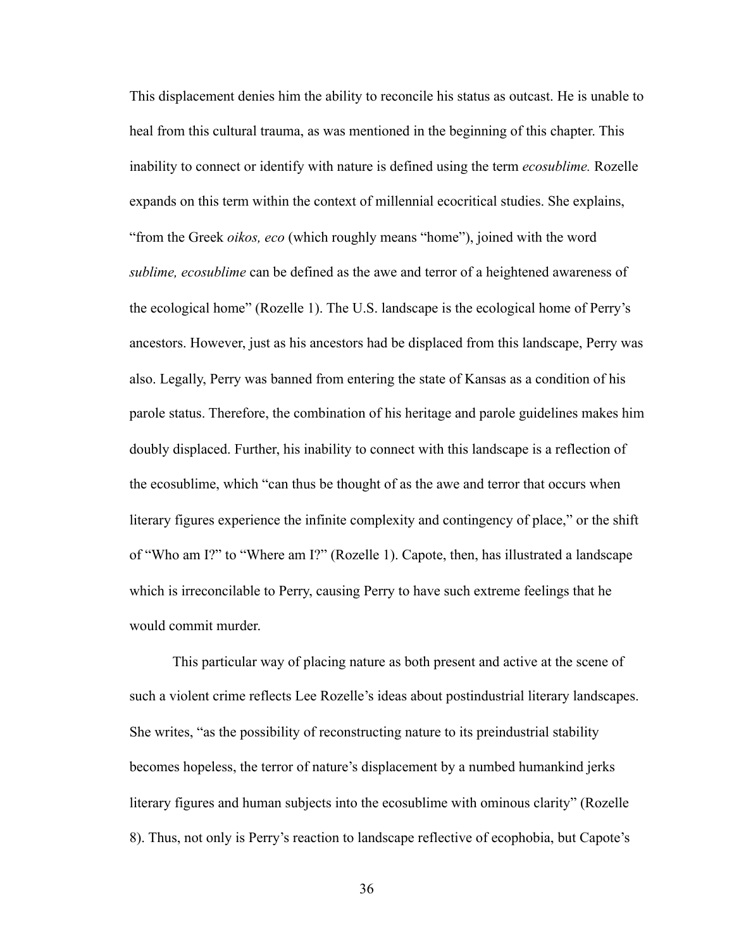This displacement denies him the ability to reconcile his status as outcast. He is unable to heal from this cultural trauma, as was mentioned in the beginning of this chapter. This inability to connect or identify with nature is defined using the term *ecosublime.* Rozelle expands on this term within the context of millennial ecocritical studies. She explains, "from the Greek *oikos, eco* (which roughly means "home"), joined with the word *sublime, ecosublime* can be defined as the awe and terror of a heightened awareness of the ecological home" (Rozelle 1). The U.S. landscape is the ecological home of Perry's ancestors. However, just as his ancestors had be displaced from this landscape, Perry was also. Legally, Perry was banned from entering the state of Kansas as a condition of his parole status. Therefore, the combination of his heritage and parole guidelines makes him doubly displaced. Further, his inability to connect with this landscape is a reflection of the ecosublime, which "can thus be thought of as the awe and terror that occurs when literary figures experience the infinite complexity and contingency of place," or the shift of "Who am I?" to "Where am I?" (Rozelle 1). Capote, then, has illustrated a landscape which is irreconcilable to Perry, causing Perry to have such extreme feelings that he would commit murder.

 This particular way of placing nature as both present and active at the scene of such a violent crime reflects Lee Rozelle's ideas about postindustrial literary landscapes. She writes, "as the possibility of reconstructing nature to its preindustrial stability becomes hopeless, the terror of nature's displacement by a numbed humankind jerks literary figures and human subjects into the ecosublime with ominous clarity" (Rozelle 8). Thus, not only is Perry's reaction to landscape reflective of ecophobia, but Capote's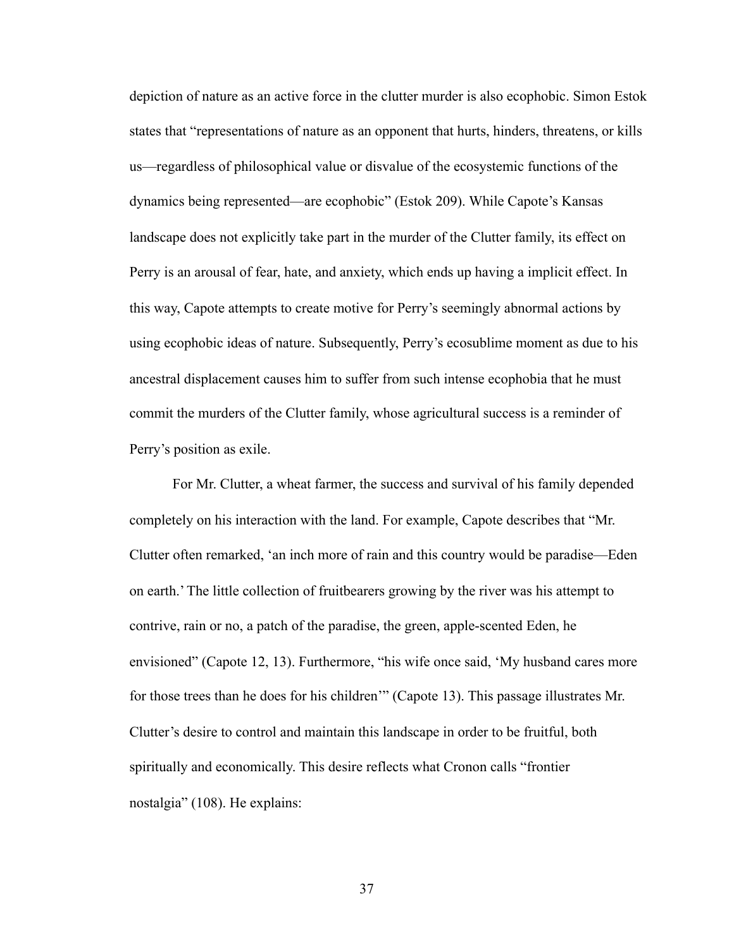depiction of nature as an active force in the clutter murder is also ecophobic. Simon Estok states that "representations of nature as an opponent that hurts, hinders, threatens, or kills us—regardless of philosophical value or disvalue of the ecosystemic functions of the dynamics being represented—are ecophobic" (Estok 209). While Capote's Kansas landscape does not explicitly take part in the murder of the Clutter family, its effect on Perry is an arousal of fear, hate, and anxiety, which ends up having a implicit effect. In this way, Capote attempts to create motive for Perry's seemingly abnormal actions by using ecophobic ideas of nature. Subsequently, Perry's ecosublime moment as due to his ancestral displacement causes him to suffer from such intense ecophobia that he must commit the murders of the Clutter family, whose agricultural success is a reminder of Perry's position as exile.

 For Mr. Clutter, a wheat farmer, the success and survival of his family depended completely on his interaction with the land. For example, Capote describes that "Mr. Clutter often remarked, 'an inch more of rain and this country would be paradise—Eden on earth.' The little collection of fruitbearers growing by the river was his attempt to contrive, rain or no, a patch of the paradise, the green, apple-scented Eden, he envisioned" (Capote 12, 13). Furthermore, "his wife once said, 'My husband cares more for those trees than he does for his children'" (Capote 13). This passage illustrates Mr. Clutter's desire to control and maintain this landscape in order to be fruitful, both spiritually and economically. This desire reflects what Cronon calls "frontier nostalgia" (108). He explains: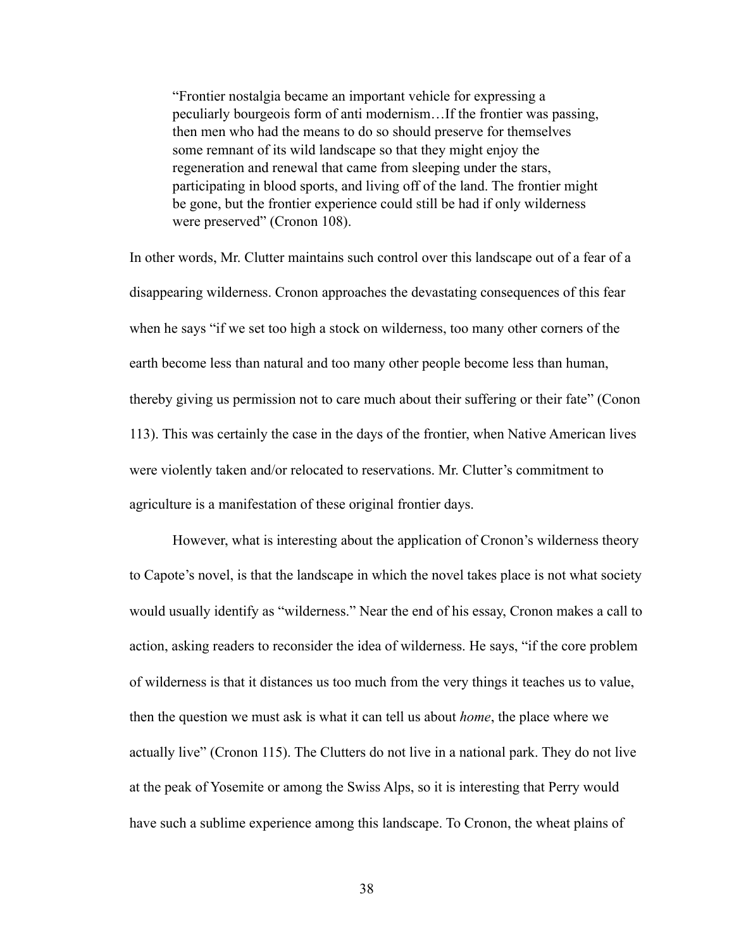"Frontier nostalgia became an important vehicle for expressing a peculiarly bourgeois form of anti modernism…If the frontier was passing, then men who had the means to do so should preserve for themselves some remnant of its wild landscape so that they might enjoy the regeneration and renewal that came from sleeping under the stars, participating in blood sports, and living off of the land. The frontier might be gone, but the frontier experience could still be had if only wilderness were preserved" (Cronon 108).

In other words, Mr. Clutter maintains such control over this landscape out of a fear of a disappearing wilderness. Cronon approaches the devastating consequences of this fear when he says "if we set too high a stock on wilderness, too many other corners of the earth become less than natural and too many other people become less than human, thereby giving us permission not to care much about their suffering or their fate" (Conon 113). This was certainly the case in the days of the frontier, when Native American lives were violently taken and/or relocated to reservations. Mr. Clutter's commitment to agriculture is a manifestation of these original frontier days.

 However, what is interesting about the application of Cronon's wilderness theory to Capote's novel, is that the landscape in which the novel takes place is not what society would usually identify as "wilderness." Near the end of his essay, Cronon makes a call to action, asking readers to reconsider the idea of wilderness. He says, "if the core problem of wilderness is that it distances us too much from the very things it teaches us to value, then the question we must ask is what it can tell us about *home*, the place where we actually live" (Cronon 115). The Clutters do not live in a national park. They do not live at the peak of Yosemite or among the Swiss Alps, so it is interesting that Perry would have such a sublime experience among this landscape. To Cronon, the wheat plains of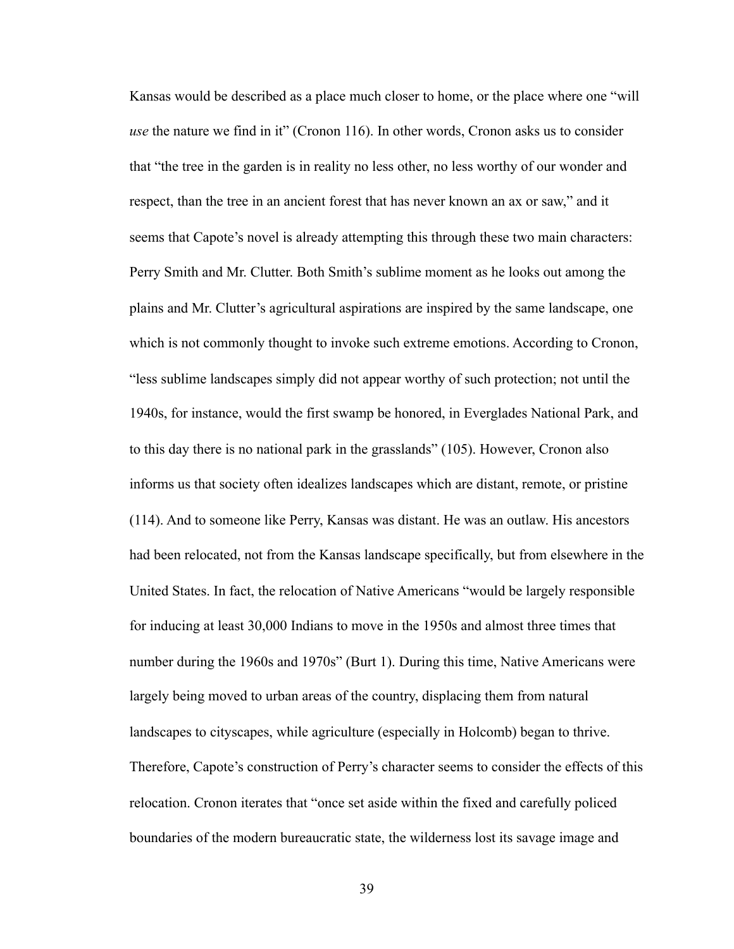Kansas would be described as a place much closer to home, or the place where one "will *use* the nature we find in it" (Cronon 116). In other words, Cronon asks us to consider that "the tree in the garden is in reality no less other, no less worthy of our wonder and respect, than the tree in an ancient forest that has never known an ax or saw," and it seems that Capote's novel is already attempting this through these two main characters: Perry Smith and Mr. Clutter. Both Smith's sublime moment as he looks out among the plains and Mr. Clutter's agricultural aspirations are inspired by the same landscape, one which is not commonly thought to invoke such extreme emotions. According to Cronon, "less sublime landscapes simply did not appear worthy of such protection; not until the 1940s, for instance, would the first swamp be honored, in Everglades National Park, and to this day there is no national park in the grasslands" (105). However, Cronon also informs us that society often idealizes landscapes which are distant, remote, or pristine (114). And to someone like Perry, Kansas was distant. He was an outlaw. His ancestors had been relocated, not from the Kansas landscape specifically, but from elsewhere in the United States. In fact, the relocation of Native Americans "would be largely responsible for inducing at least 30,000 Indians to move in the 1950s and almost three times that number during the 1960s and 1970s" (Burt 1). During this time, Native Americans were largely being moved to urban areas of the country, displacing them from natural landscapes to cityscapes, while agriculture (especially in Holcomb) began to thrive. Therefore, Capote's construction of Perry's character seems to consider the effects of this relocation. Cronon iterates that "once set aside within the fixed and carefully policed boundaries of the modern bureaucratic state, the wilderness lost its savage image and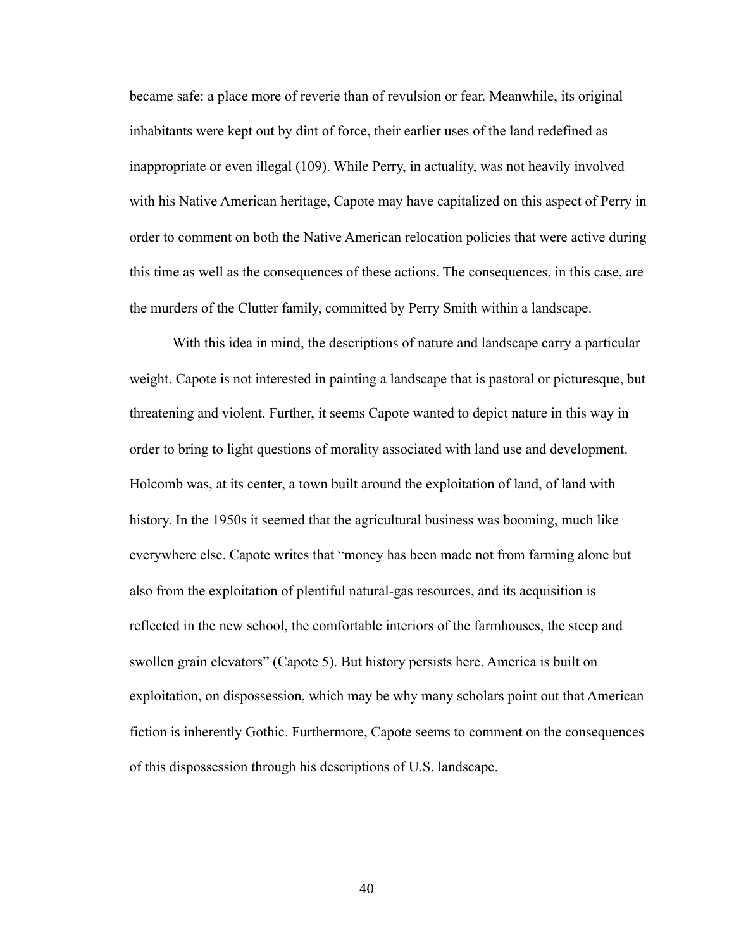became safe: a place more of reverie than of revulsion or fear. Meanwhile, its original inhabitants were kept out by dint of force, their earlier uses of the land redefined as inappropriate or even illegal (109). While Perry, in actuality, was not heavily involved with his Native American heritage, Capote may have capitalized on this aspect of Perry in order to comment on both the Native American relocation policies that were active during this time as well as the consequences of these actions. The consequences, in this case, are the murders of the Clutter family, committed by Perry Smith within a landscape.

 With this idea in mind, the descriptions of nature and landscape carry a particular weight. Capote is not interested in painting a landscape that is pastoral or picturesque, but threatening and violent. Further, it seems Capote wanted to depict nature in this way in order to bring to light questions of morality associated with land use and development. Holcomb was, at its center, a town built around the exploitation of land, of land with history. In the 1950s it seemed that the agricultural business was booming, much like everywhere else. Capote writes that "money has been made not from farming alone but also from the exploitation of plentiful natural-gas resources, and its acquisition is reflected in the new school, the comfortable interiors of the farmhouses, the steep and swollen grain elevators" (Capote 5). But history persists here. America is built on exploitation, on dispossession, which may be why many scholars point out that American fiction is inherently Gothic. Furthermore, Capote seems to comment on the consequences of this dispossession through his descriptions of U.S. landscape.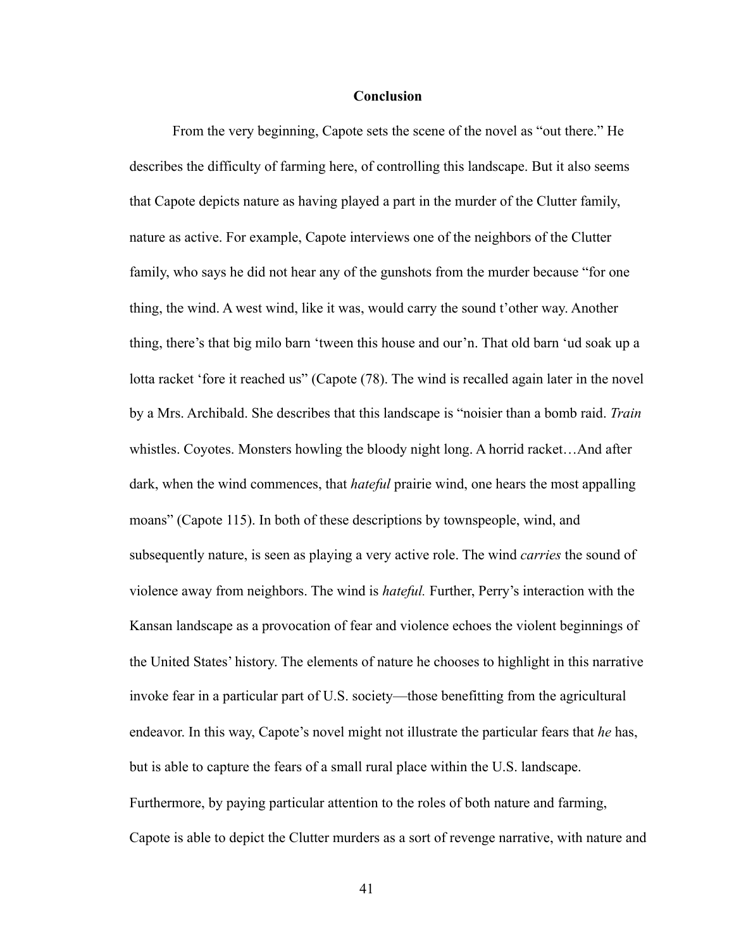#### **Conclusion**

 From the very beginning, Capote sets the scene of the novel as "out there." He describes the difficulty of farming here, of controlling this landscape. But it also seems that Capote depicts nature as having played a part in the murder of the Clutter family, nature as active. For example, Capote interviews one of the neighbors of the Clutter family, who says he did not hear any of the gunshots from the murder because "for one thing, the wind. A west wind, like it was, would carry the sound t'other way. Another thing, there's that big milo barn 'tween this house and our'n. That old barn 'ud soak up a lotta racket 'fore it reached us" (Capote (78). The wind is recalled again later in the novel by a Mrs. Archibald. She describes that this landscape is "noisier than a bomb raid. *Train*  whistles. Coyotes. Monsters howling the bloody night long. A horrid racket…And after dark, when the wind commences, that *hateful* prairie wind, one hears the most appalling moans" (Capote 115). In both of these descriptions by townspeople, wind, and subsequently nature, is seen as playing a very active role. The wind *carries* the sound of violence away from neighbors. The wind is *hateful.* Further, Perry's interaction with the Kansan landscape as a provocation of fear and violence echoes the violent beginnings of the United States' history. The elements of nature he chooses to highlight in this narrative invoke fear in a particular part of U.S. society—those benefitting from the agricultural endeavor. In this way, Capote's novel might not illustrate the particular fears that *he* has, but is able to capture the fears of a small rural place within the U.S. landscape. Furthermore, by paying particular attention to the roles of both nature and farming, Capote is able to depict the Clutter murders as a sort of revenge narrative, with nature and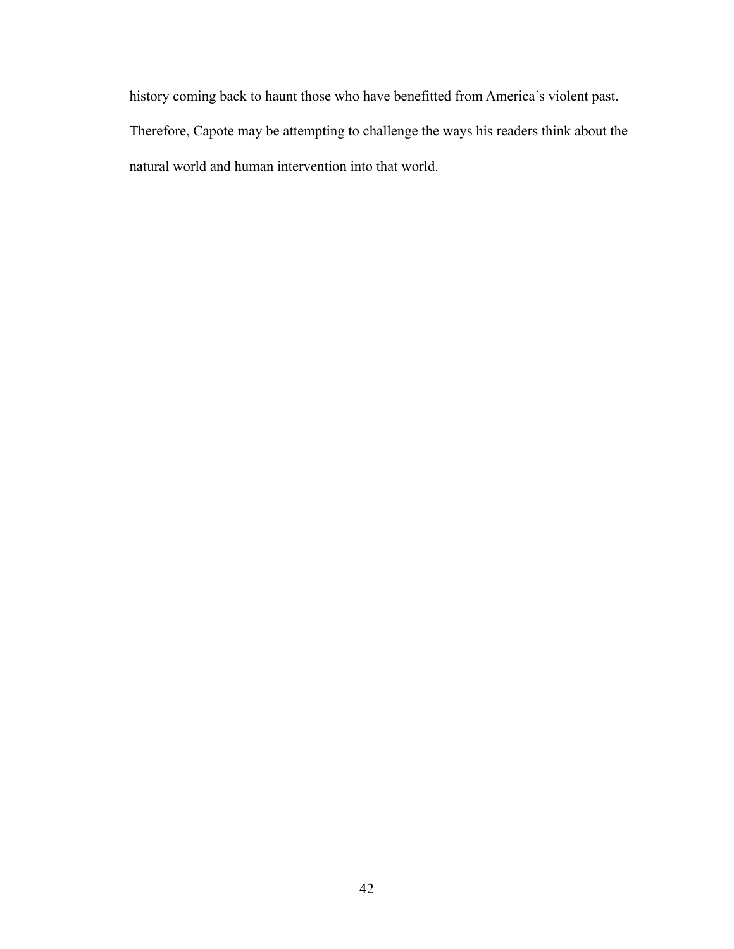history coming back to haunt those who have benefitted from America's violent past. Therefore, Capote may be attempting to challenge the ways his readers think about the natural world and human intervention into that world.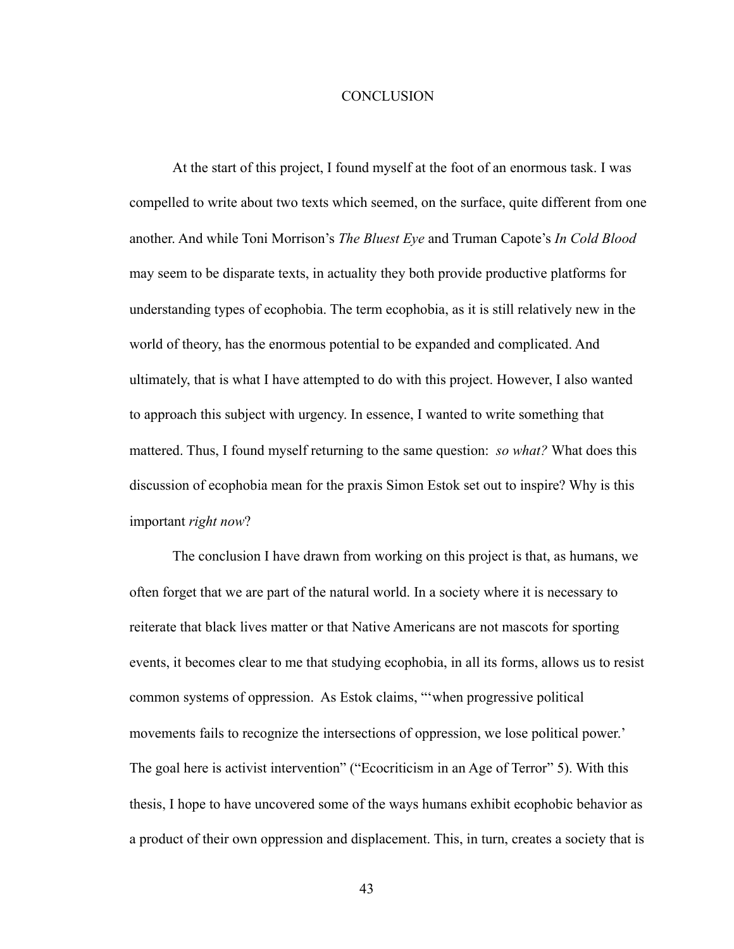#### **CONCLUSION**

 At the start of this project, I found myself at the foot of an enormous task. I was compelled to write about two texts which seemed, on the surface, quite different from one another. And while Toni Morrison's *The Bluest Eye* and Truman Capote's *In Cold Blood*  may seem to be disparate texts, in actuality they both provide productive platforms for understanding types of ecophobia. The term ecophobia, as it is still relatively new in the world of theory, has the enormous potential to be expanded and complicated. And ultimately, that is what I have attempted to do with this project. However, I also wanted to approach this subject with urgency. In essence, I wanted to write something that mattered. Thus, I found myself returning to the same question: *so what?* What does this discussion of ecophobia mean for the praxis Simon Estok set out to inspire? Why is this important *right now*?

 The conclusion I have drawn from working on this project is that, as humans, we often forget that we are part of the natural world. In a society where it is necessary to reiterate that black lives matter or that Native Americans are not mascots for sporting events, it becomes clear to me that studying ecophobia, in all its forms, allows us to resist common systems of oppression. As Estok claims, "'when progressive political movements fails to recognize the intersections of oppression, we lose political power.' The goal here is activist intervention" ("Ecocriticism in an Age of Terror" 5). With this thesis, I hope to have uncovered some of the ways humans exhibit ecophobic behavior as a product of their own oppression and displacement. This, in turn, creates a society that is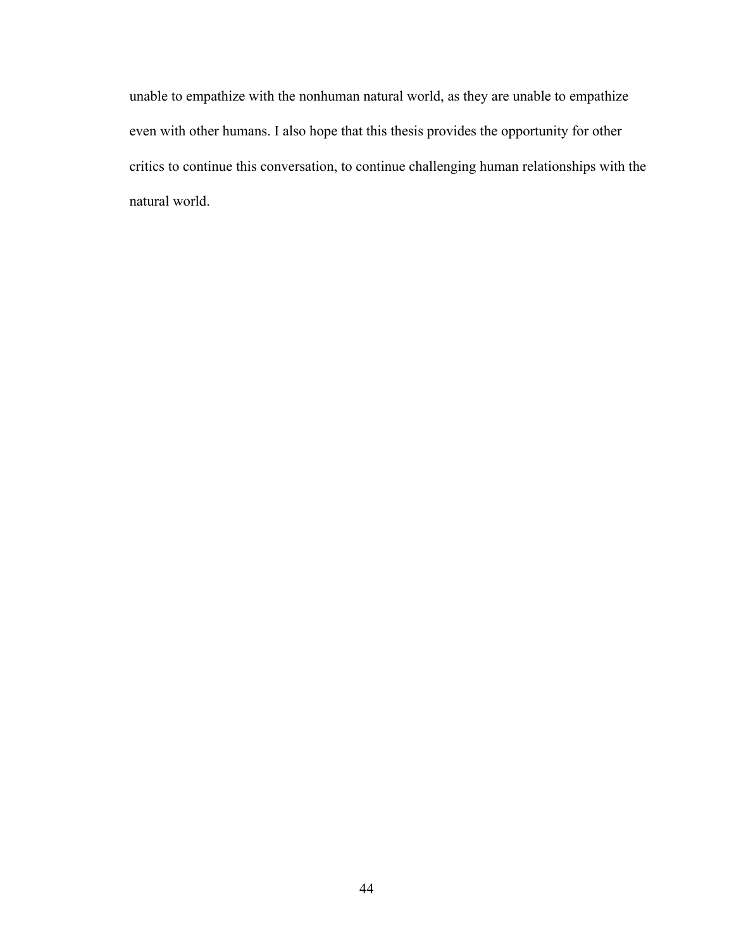unable to empathize with the nonhuman natural world, as they are unable to empathize even with other humans. I also hope that this thesis provides the opportunity for other critics to continue this conversation, to continue challenging human relationships with the natural world.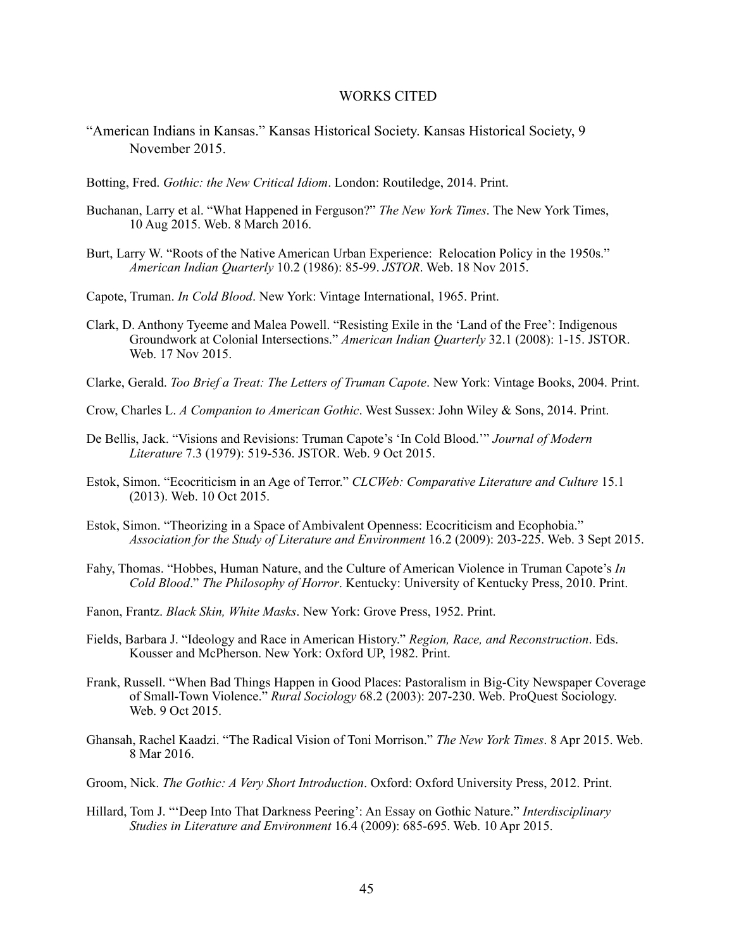#### WORKS CITED

- "American Indians in Kansas." Kansas Historical Society. Kansas Historical Society, 9 November 2015.
- Botting, Fred. *Gothic: the New Critical Idiom*. London: Routiledge, 2014. Print.
- Buchanan, Larry et al. "What Happened in Ferguson?" *The New York Times*. The New York Times, 10 Aug 2015. Web. 8 March 2016.
- Burt, Larry W. "Roots of the Native American Urban Experience: Relocation Policy in the 1950s." *American Indian Quarterly* 10.2 (1986): 85-99. *JSTOR*. Web. 18 Nov 2015.
- Capote, Truman. *In Cold Blood*. New York: Vintage International, 1965. Print.
- Clark, D. Anthony Tyeeme and Malea Powell. "Resisting Exile in the 'Land of the Free': Indigenous Groundwork at Colonial Intersections." *American Indian Quarterly* 32.1 (2008): 1-15. JSTOR. Web. 17 Nov 2015.
- Clarke, Gerald. *Too Brief a Treat: The Letters of Truman Capote*. New York: Vintage Books, 2004. Print.
- Crow, Charles L. *A Companion to American Gothic*. West Sussex: John Wiley & Sons, 2014. Print.
- De Bellis, Jack. "Visions and Revisions: Truman Capote's 'In Cold Blood.'" *Journal of Modern Literature* 7.3 (1979): 519-536. JSTOR. Web. 9 Oct 2015.
- Estok, Simon. "Ecocriticism in an Age of Terror." *CLCWeb: Comparative Literature and Culture* 15.1 (2013). Web. 10 Oct 2015.
- Estok, Simon. "Theorizing in a Space of Ambivalent Openness: Ecocriticism and Ecophobia." *Association for the Study of Literature and Environment* 16.2 (2009): 203-225. Web. 3 Sept 2015.
- Fahy, Thomas. "Hobbes, Human Nature, and the Culture of American Violence in Truman Capote's *In Cold Blood*." *The Philosophy of Horror*. Kentucky: University of Kentucky Press, 2010. Print.
- Fanon, Frantz. *Black Skin, White Masks*. New York: Grove Press, 1952. Print.
- Fields, Barbara J. "Ideology and Race in American History." *Region, Race, and Reconstruction*. Eds. Kousser and McPherson. New York: Oxford UP, 1982. Print.
- Frank, Russell. "When Bad Things Happen in Good Places: Pastoralism in Big-City Newspaper Coverage of Small-Town Violence." *Rural Sociology* 68.2 (2003): 207-230. Web. ProQuest Sociology. Web. 9 Oct 2015.
- Ghansah, Rachel Kaadzi. "The Radical Vision of Toni Morrison." *The New York Times*. 8 Apr 2015. Web. 8 Mar 2016.
- Groom, Nick. *The Gothic: A Very Short Introduction*. Oxford: Oxford University Press, 2012. Print.
- Hillard, Tom J. "'Deep Into That Darkness Peering': An Essay on Gothic Nature." *Interdisciplinary Studies in Literature and Environment* 16.4 (2009): 685-695. Web. 10 Apr 2015.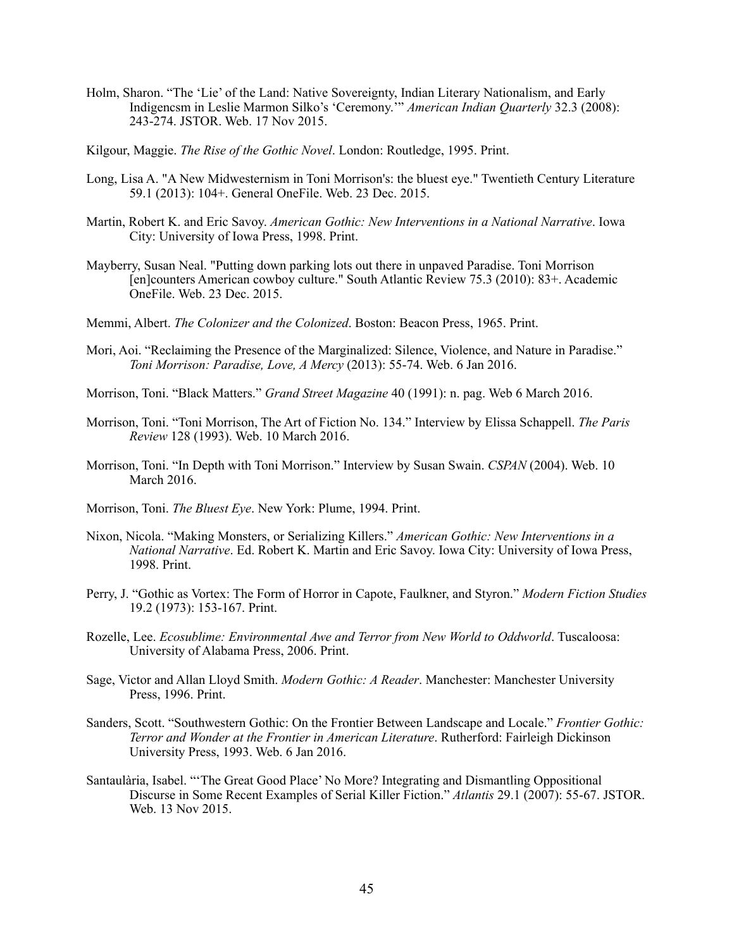- Holm, Sharon. "The 'Lie' of the Land: Native Sovereignty, Indian Literary Nationalism, and Early Indigencsm in Leslie Marmon Silko's 'Ceremony.'" *American Indian Quarterly* 32.3 (2008): 243-274. JSTOR. Web. 17 Nov 2015.
- Kilgour, Maggie. *The Rise of the Gothic Novel*. London: Routledge, 1995. Print.
- Long, Lisa A. "A New Midwesternism in Toni Morrison's: the bluest eye." Twentieth Century Literature 59.1 (2013): 104+. General OneFile. Web. 23 Dec. 2015.
- Martin, Robert K. and Eric Savoy. *American Gothic: New Interventions in a National Narrative*. Iowa City: University of Iowa Press, 1998. Print.
- Mayberry, Susan Neal. "Putting down parking lots out there in unpaved Paradise. Toni Morrison [en]counters American cowboy culture." South Atlantic Review 75.3 (2010): 83+. Academic OneFile. Web. 23 Dec. 2015.
- Memmi, Albert. *The Colonizer and the Colonized*. Boston: Beacon Press, 1965. Print.
- Mori, Aoi. "Reclaiming the Presence of the Marginalized: Silence, Violence, and Nature in Paradise." *Toni Morrison: Paradise, Love, A Mercy* (2013): 55-74. Web. 6 Jan 2016.
- Morrison, Toni. "Black Matters." *Grand Street Magazine* 40 (1991): n. pag. Web 6 March 2016.
- Morrison, Toni. "Toni Morrison, The Art of Fiction No. 134." Interview by Elissa Schappell. *The Paris Review* 128 (1993). Web. 10 March 2016.
- Morrison, Toni. "In Depth with Toni Morrison." Interview by Susan Swain. *CSPAN* (2004). Web. 10 March 2016.
- Morrison, Toni. *The Bluest Eye*. New York: Plume, 1994. Print.
- Nixon, Nicola. "Making Monsters, or Serializing Killers." *American Gothic: New Interventions in a National Narrative*. Ed. Robert K. Martin and Eric Savoy. Iowa City: University of Iowa Press, 1998. Print.
- Perry, J. "Gothic as Vortex: The Form of Horror in Capote, Faulkner, and Styron." *Modern Fiction Studies*  19.2 (1973): 153-167. Print.
- Rozelle, Lee. *Ecosublime: Environmental Awe and Terror from New World to Oddworld*. Tuscaloosa: University of Alabama Press, 2006. Print.
- Sage, Victor and Allan Lloyd Smith. *Modern Gothic: A Reader*. Manchester: Manchester University Press, 1996. Print.
- Sanders, Scott. "Southwestern Gothic: On the Frontier Between Landscape and Locale." *Frontier Gothic: Terror and Wonder at the Frontier in American Literature*. Rutherford: Fairleigh Dickinson University Press, 1993. Web. 6 Jan 2016.
- Santaulària, Isabel. "'The Great Good Place' No More? Integrating and Dismantling Oppositional Discurse in Some Recent Examples of Serial Killer Fiction." *Atlantis* 29.1 (2007): 55-67. JSTOR. Web. 13 Nov 2015.